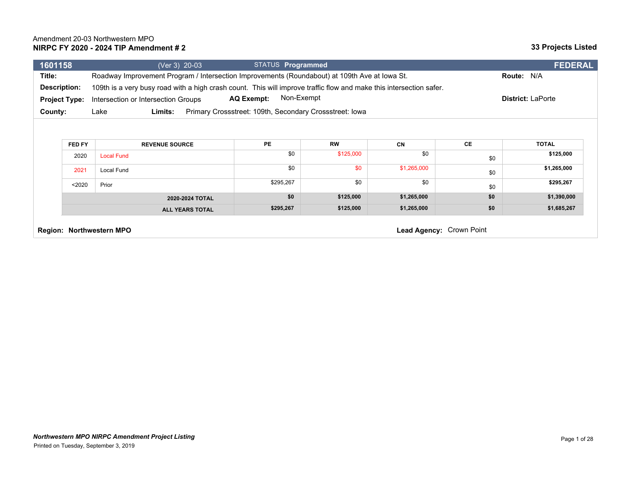| 1601158                                                                                                                    | (Ver 3) 20-03                                                                                                       | STATUS Programmed                                       |                        |             |     | <b>FEDERAL</b>            |
|----------------------------------------------------------------------------------------------------------------------------|---------------------------------------------------------------------------------------------------------------------|---------------------------------------------------------|------------------------|-------------|-----|---------------------------|
| Title:                                                                                                                     | Roadway Improvement Program / Intersection Improvements (Roundabout) at 109th Ave at lowa St.                       |                                                         |                        |             |     | Route: N/A                |
| Description:                                                                                                               | 109th is a very busy road with a high crash count. This will improve traffic flow and make this intersection safer. |                                                         |                        |             |     |                           |
| Non-Exempt<br><b>AQ Exempt:</b><br><b>District: LaPorte</b><br>Intersection or Intersection Groups<br><b>Project Type:</b> |                                                                                                                     |                                                         |                        |             |     |                           |
| County:                                                                                                                    | Limits:<br>Lake                                                                                                     | Primary Crossstreet: 109th, Secondary Crossstreet: Iowa |                        |             |     |                           |
|                                                                                                                            |                                                                                                                     |                                                         |                        |             |     |                           |
|                                                                                                                            |                                                                                                                     |                                                         |                        |             |     |                           |
| FED FY                                                                                                                     | <b>REVENUE SOURCE</b>                                                                                               | <b>PE</b><br>\$0                                        | <b>RW</b><br>\$125,000 | CN<br>\$0   | CE  | <b>TOTAL</b><br>\$125,000 |
| 2020                                                                                                                       | <b>Local Fund</b>                                                                                                   |                                                         |                        |             | \$0 |                           |
| 2021                                                                                                                       | <b>Local Fund</b>                                                                                                   | \$0                                                     | \$0                    | \$1,265,000 | \$0 | \$1,265,000               |
| $2020$                                                                                                                     | Prior                                                                                                               | \$295,267                                               | \$0                    | \$0         | \$0 | \$295,267                 |
|                                                                                                                            | 2020-2024 TOTAL                                                                                                     | \$0                                                     | \$125,000              | \$1,265,000 | \$0 | \$1,390,000               |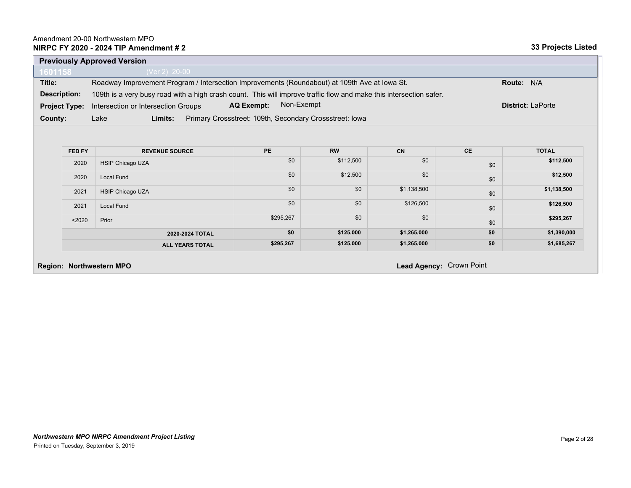|                      | <b>Previously Approved Version</b>                                                                                  |                          |  |  |  |
|----------------------|---------------------------------------------------------------------------------------------------------------------|--------------------------|--|--|--|
| 1601158              | (Ver 2) $20-00$                                                                                                     |                          |  |  |  |
| Title:               | Roadway Improvement Program / Intersection Improvements (Roundabout) at 109th Ave at Iowa St.<br><b>Route: N/A</b>  |                          |  |  |  |
| Description:         | 109th is a very busy road with a high crash count. This will improve traffic flow and make this intersection safer. |                          |  |  |  |
| <b>Project Type:</b> | Non-Exempt<br><b>AQ Exempt:</b><br>Intersection or Intersection Groups                                              | <b>District: LaPorte</b> |  |  |  |
| County:              | Primary Crossstreet: 109th, Secondary Crossstreet: Iowa<br>Lake<br>Limits:                                          |                          |  |  |  |

| <b>FED FY</b> | <b>REVENUE SOURCE</b>   | <b>PE</b> | <b>RW</b> | <b>CN</b>   | <b>CE</b> | <b>TOTAL</b> |
|---------------|-------------------------|-----------|-----------|-------------|-----------|--------------|
| 2020          | <b>HSIP Chicago UZA</b> | \$0       | \$112,500 | \$0         | \$0       | \$112,500    |
| 2020          | <b>Local Fund</b>       | \$0       | \$12,500  | \$0         | \$0       | \$12,500     |
| 2021          | <b>HSIP Chicago UZA</b> | \$0       | \$0       | \$1,138,500 | \$0       | \$1,138,500  |
| 2021          | <b>Local Fund</b>       | \$0       | \$0       | \$126,500   | \$0       | \$126,500    |
| < 2020        | Prior                   | \$295,267 | \$0       | \$0         | \$0       | \$295,267    |
|               | 2020-2024 TOTAL         | \$0       | \$125,000 | \$1,265,000 | \$0       | \$1,390,000  |
|               | <b>ALL YEARS TOTAL</b>  | \$295,267 | \$125,000 | \$1,265,000 | \$0       | \$1,685,267  |

**Region: Northwestern MPO Lead Agency:** Crown Point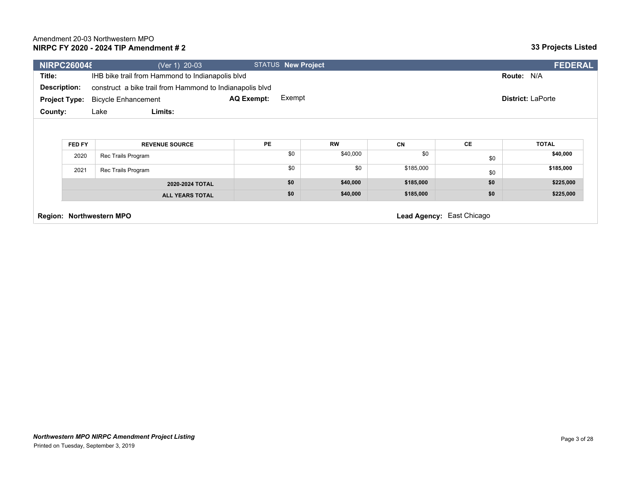| <b>NIRPC260048</b>   |        | (Ver 1) 20-03                                            |                   | <b>STATUS New Project</b> |           |                           |     | <b>FEDERAL</b>           |
|----------------------|--------|----------------------------------------------------------|-------------------|---------------------------|-----------|---------------------------|-----|--------------------------|
| Title:               |        | IHB bike trail from Hammond to Indianapolis blvd         |                   |                           |           |                           |     | Route: N/A               |
| <b>Description:</b>  |        | construct a bike trail from Hammond to Indianapolis blvd |                   |                           |           |                           |     |                          |
| <b>Project Type:</b> |        | <b>Bicycle Enhancement</b>                               | <b>AQ Exempt:</b> | Exempt                    |           |                           |     | <b>District: LaPorte</b> |
| County:              |        | Limits:<br>Lake                                          |                   |                           |           |                           |     |                          |
|                      |        |                                                          |                   |                           |           |                           |     |                          |
|                      |        |                                                          | <b>PE</b>         |                           |           |                           | CE  | <b>TOTAL</b>             |
|                      | FED FY | <b>REVENUE SOURCE</b>                                    |                   |                           | <b>RW</b> | <b>CN</b>                 |     |                          |
|                      | 2020   | Rec Trails Program                                       |                   | \$0                       | \$40,000  | \$0                       | \$0 | \$40,000                 |
|                      | 2021   | Rec Trails Program                                       |                   | \$0                       | \$0       | \$185,000                 | \$0 | \$185,000                |
|                      |        | 2020-2024 TOTAL                                          |                   | \$0                       | \$40,000  | \$185,000                 | \$0 | \$225,000                |
|                      |        | <b>ALL YEARS TOTAL</b>                                   |                   | \$0                       | \$40,000  | \$185,000                 | \$0 | \$225,000                |
|                      |        | Region: Northwestern MPO                                 |                   |                           |           | Lead Agency: East Chicago |     |                          |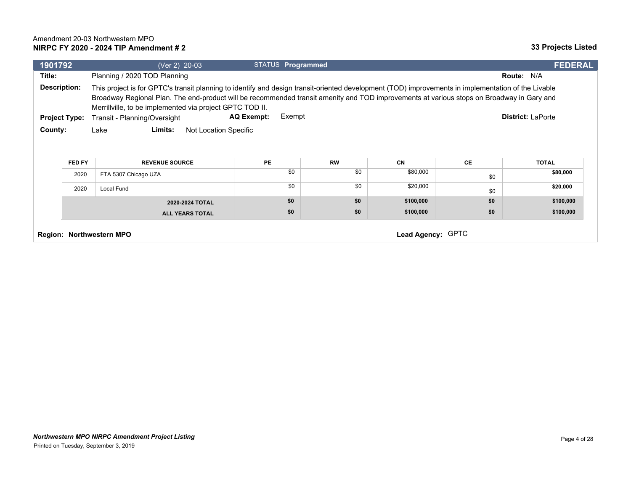| 1901792 |                                                                                                                                                                                                                                                                                                                                                                                                                                                                                          | (Ver 2) 20-03                                 | STATUS <b>Programmed</b> |                  |                       |            | <b>FEDERAL</b>           |
|---------|------------------------------------------------------------------------------------------------------------------------------------------------------------------------------------------------------------------------------------------------------------------------------------------------------------------------------------------------------------------------------------------------------------------------------------------------------------------------------------------|-----------------------------------------------|--------------------------|------------------|-----------------------|------------|--------------------------|
| Title:  |                                                                                                                                                                                                                                                                                                                                                                                                                                                                                          | Planning / 2020 TOD Planning                  |                          |                  |                       |            | <b>Route: N/A</b>        |
|         | Description:<br>This project is for GPTC's transit planning to identify and design transit-oriented development (TOD) improvements in implementation of the Livable<br>Broadway Regional Plan. The end-product will be recommended transit amenity and TOD improvements at various stops on Broadway in Gary and<br>Merrillville, to be implemented via project GPTC TOD II.<br>Exempt<br>AQ Exempt:<br><b>District: LaPorte</b><br>Transit - Planning/Oversight<br><b>Project Type:</b> |                                               |                          |                  |                       |            |                          |
|         | Limits:<br>County:<br>Lake<br>Not Location Specific                                                                                                                                                                                                                                                                                                                                                                                                                                      |                                               |                          |                  |                       |            |                          |
|         | FED FY<br>2020                                                                                                                                                                                                                                                                                                                                                                                                                                                                           | <b>REVENUE SOURCE</b><br>FTA 5307 Chicago UZA | <b>PE</b><br>\$0         | <b>RW</b><br>\$0 | <b>CN</b><br>\$80,000 | <b>CE</b>  | <b>TOTAL</b><br>\$80,000 |
|         | 2020                                                                                                                                                                                                                                                                                                                                                                                                                                                                                     | Local Fund                                    | \$0                      | \$0              | \$20,000              | \$0<br>\$0 | \$20,000                 |
|         |                                                                                                                                                                                                                                                                                                                                                                                                                                                                                          | 2020-2024 TOTAL                               | \$0                      | \$0              | \$100,000             | \$0        | \$100,000                |
|         |                                                                                                                                                                                                                                                                                                                                                                                                                                                                                          | <b>ALL YEARS TOTAL</b>                        | \$0                      | \$0              | \$100,000             | \$0        | \$100,000                |
|         | Lead Agency: GPTC<br>Region: Northwestern MPO                                                                                                                                                                                                                                                                                                                                                                                                                                            |                                               |                          |                  |                       |            |                          |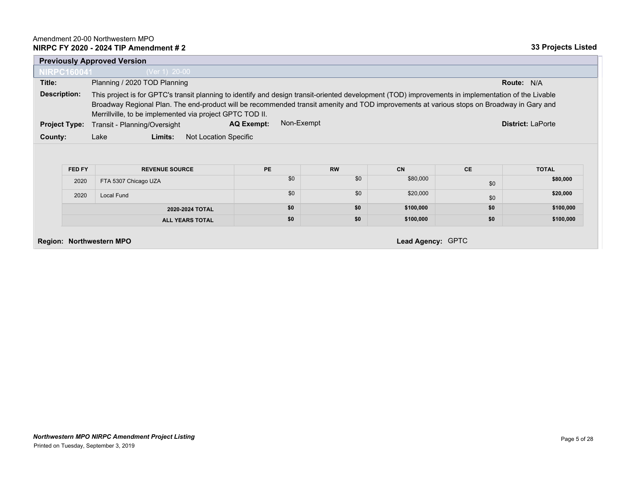|                                 |                                                                                                                                                                                                                                                                                                                                                              | <b>Previously Approved Version</b>       |                                 |           |                   |           |                          |
|---------------------------------|--------------------------------------------------------------------------------------------------------------------------------------------------------------------------------------------------------------------------------------------------------------------------------------------------------------------------------------------------------------|------------------------------------------|---------------------------------|-----------|-------------------|-----------|--------------------------|
| <b>NIRPC160041</b>              |                                                                                                                                                                                                                                                                                                                                                              | (Ver 1) 20-00                            |                                 |           |                   |           |                          |
| Title:                          |                                                                                                                                                                                                                                                                                                                                                              | Planning / 2020 TOD Planning             |                                 |           |                   |           | Route: N/A               |
| <b>Description:</b>             | This project is for GPTC's transit planning to identify and design transit-oriented development (TOD) improvements in implementation of the Livable<br>Broadway Regional Plan. The end-product will be recommended transit amenity and TOD improvements at various stops on Broadway in Gary and<br>Merrillville, to be implemented via project GPTC TOD II. |                                          |                                 |           |                   |           |                          |
| <b>Project Type:</b>            |                                                                                                                                                                                                                                                                                                                                                              | Transit - Planning/Oversight             | Non-Exempt<br><b>AQ Exempt:</b> |           |                   |           | <b>District: LaPorte</b> |
| County:                         |                                                                                                                                                                                                                                                                                                                                                              | Limits:<br>Not Location Specific<br>Lake |                                 |           |                   |           |                          |
|                                 | FED FY                                                                                                                                                                                                                                                                                                                                                       | <b>REVENUE SOURCE</b>                    | <b>PE</b>                       | <b>RW</b> | <b>CN</b>         | <b>CE</b> | <b>TOTAL</b>             |
|                                 | 2020                                                                                                                                                                                                                                                                                                                                                         | FTA 5307 Chicago UZA                     | \$0                             | \$0       | \$80,000          | \$0       | \$80,000                 |
|                                 | 2020                                                                                                                                                                                                                                                                                                                                                         | Local Fund                               | \$0                             | \$0       | \$20,000          | \$0       | \$20,000                 |
|                                 |                                                                                                                                                                                                                                                                                                                                                              | 2020-2024 TOTAL                          | \$0                             | \$0       | \$100,000         | \$0       | \$100,000                |
|                                 |                                                                                                                                                                                                                                                                                                                                                              | <b>ALL YEARS TOTAL</b>                   | \$0                             | \$0       | \$100,000         | \$0       | \$100,000                |
| <b>Region: Northwestern MPO</b> |                                                                                                                                                                                                                                                                                                                                                              |                                          |                                 |           | Lead Agency: GPTC |           |                          |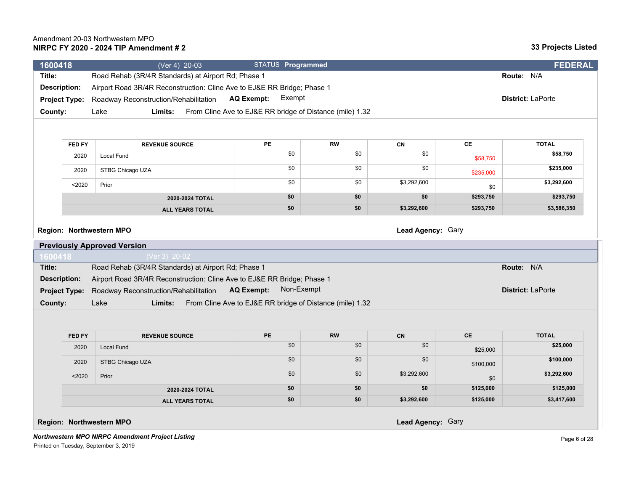| 1600418              | (Ver 4) 20-03                                                           | STATUS Programmed                                        |           |             |               | <b>FEDERAL</b>    |
|----------------------|-------------------------------------------------------------------------|----------------------------------------------------------|-----------|-------------|---------------|-------------------|
| Title:               | Road Rehab (3R/4R Standards) at Airport Rd; Phase 1                     |                                                          |           |             |               | Route: N/A        |
| <b>Description:</b>  | Airport Road 3R/4R Reconstruction: Cline Ave to EJ&E RR Bridge; Phase 1 |                                                          |           |             |               |                   |
| <b>Project Type:</b> | Roadway Reconstruction/Rehabilitation                                   | Exempt<br><b>AQ Exempt:</b>                              |           |             |               | District: LaPorte |
| County:              | Limits:<br>Lake                                                         | From Cline Ave to EJ&E RR bridge of Distance (mile) 1.32 |           |             |               |                   |
|                      |                                                                         |                                                          |           |             |               |                   |
| FED FY               | <b>REVENUE SOURCE</b>                                                   | PE                                                       | <b>RW</b> | CN          | $\mathsf{CE}$ | <b>TOTAL</b>      |
|                      |                                                                         | \$0                                                      | \$0       | \$0         |               | \$58,750          |
| 2020                 | Local Fund                                                              |                                                          |           |             | \$58,750      |                   |
| 2020                 | STBG Chicago UZA                                                        | \$0                                                      | \$0       | \$0         | \$235,000     | \$235,000         |
| $2020$               | Prior                                                                   | \$0                                                      | \$0       | \$3,292,600 | \$0           | \$3,292,600       |
|                      | 2020-2024 TOTAL                                                         | \$0                                                      | \$0       | \$0         | \$293,750     | \$293,750         |
|                      | <b>ALL YEARS TOTAL</b>                                                  | \$0                                                      | \$0       | \$3,292,600 | \$293,750     | \$3,586,350       |
| 1600418              | <b>Previously Approved Version</b><br>(Ver 3) 20-02                     |                                                          |           |             |               |                   |
| Title:               | Road Rehab (3R/4R Standards) at Airport Rd; Phase 1                     |                                                          |           |             |               | Route: N/A        |
| <b>Description:</b>  | Airport Road 3R/4R Reconstruction: Cline Ave to EJ&E RR Bridge; Phase 1 |                                                          |           |             |               |                   |
| <b>Project Type:</b> | Roadway Reconstruction/Rehabilitation                                   | Non-Exempt<br><b>AQ Exempt:</b>                          |           |             |               | District: LaPorte |
| County:              | Lake<br>Limits:                                                         | From Cline Ave to EJ&E RR bridge of Distance (mile) 1.32 |           |             |               |                   |
|                      |                                                                         |                                                          |           |             |               |                   |
|                      |                                                                         |                                                          |           |             |               |                   |
|                      | <b>REVENUE SOURCE</b>                                                   | <b>PE</b>                                                | <b>RW</b> | <b>CN</b>   | <b>CE</b>     | <b>TOTAL</b>      |
| <b>FED FY</b>        |                                                                         |                                                          |           |             |               |                   |
| 2020                 | <b>Local Fund</b>                                                       | \$0                                                      | \$0       | \$0         | \$25,000      | \$25,000          |
| 2020                 | STBG Chicago UZA                                                        | \$0                                                      | \$0       | \$0         | \$100,000     | \$100,000         |
| $2020$               | Prior                                                                   | \$0                                                      | \$0       | \$3,292,600 | \$0           | \$3,292,600       |
|                      | 2020-2024 TOTAL                                                         | \$0                                                      | \$0       | \$0         | \$125,000     | \$125,000         |

**Region: Northwestern MPO Lead Agency:** Gary

*Northwestern MPO NIRPC Amendment Project Listing* Printed on Tuesday, September 3, 2019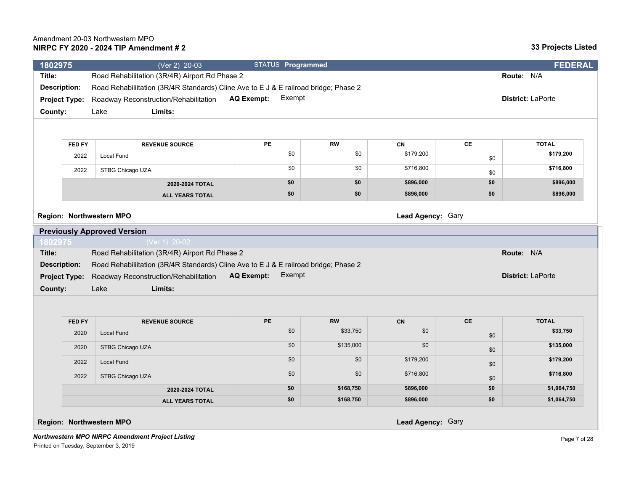| 1802975              |                      | (Ver 2) 20-03                                                                        | STATUS Programmed           |            |                   |               | <b>FEDERAL</b>           |
|----------------------|----------------------|--------------------------------------------------------------------------------------|-----------------------------|------------|-------------------|---------------|--------------------------|
| Title:               |                      | Road Rehabilitation (3R/4R) Airport Rd Phase 2                                       |                             |            |                   |               | Route: N/A               |
| <b>Description:</b>  |                      | Road Rehabiliitation (3R/4R Standards) Cline Ave to E J & E railroad bridge; Phase 2 |                             |            |                   |               |                          |
| <b>Project Type:</b> |                      | Roadway Reconstruction/Rehabilitation                                                | Exempt<br><b>AQ Exempt:</b> |            |                   |               | District: LaPorte        |
| County:              |                      | Limits:<br>Lake                                                                      |                             |            |                   |               |                          |
|                      |                      |                                                                                      |                             |            |                   |               |                          |
|                      |                      |                                                                                      |                             |            |                   |               |                          |
|                      | FED FY               | <b>REVENUE SOURCE</b>                                                                | <b>PE</b>                   | <b>RW</b>  | <b>CN</b>         | $\mathsf{CE}$ | <b>TOTAL</b>             |
|                      | 2022                 | <b>Local Fund</b>                                                                    | \$0                         | \$0        | \$179,200         | \$0           | \$179,200                |
|                      | 2022                 | STBG Chicago UZA                                                                     | \$0                         | \$0        | \$716,800         | \$0           | \$716,800                |
|                      |                      | 2020-2024 TOTAL                                                                      | \$0                         | \$0        | \$896,000         | \$0           | \$896,000                |
|                      |                      | <b>ALL YEARS TOTAL</b>                                                               | \$0                         | \$0        | \$896,000         | \$0           | \$896,000                |
|                      |                      | Region: Northwestern MPO                                                             |                             |            | Lead Agency: Gary |               |                          |
|                      |                      | <b>Previously Approved Version</b>                                                   |                             |            |                   |               |                          |
| 1802975              |                      | (Ver 1) 20-02                                                                        |                             |            |                   |               |                          |
| Title:               |                      | Road Rehabilitation (3R/4R) Airport Rd Phase 2                                       |                             |            |                   |               | Route: N/A               |
| <b>Description:</b>  |                      | Road Rehabiliitation (3R/4R Standards) Cline Ave to E J & E railroad bridge; Phase 2 |                             |            |                   |               |                          |
|                      | <b>Project Type:</b> | Roadway Reconstruction/Rehabilitation                                                | <b>AQ Exempt:</b><br>Exempt |            |                   |               | <b>District: LaPorte</b> |
| County:              |                      | Limits:<br>Lake                                                                      |                             |            |                   |               |                          |
|                      |                      |                                                                                      |                             |            |                   |               |                          |
|                      | FED FY               | <b>REVENUE SOURCE</b>                                                                | <b>PE</b>                   | ${\sf RW}$ | CN                | <b>CE</b>     | <b>TOTAL</b>             |
|                      | 2020                 | <b>Local Fund</b>                                                                    | \$0                         | \$33,750   | \$0               | \$0           | \$33,750                 |
|                      | 2020                 | STBG Chicago UZA                                                                     | \$0                         | \$135,000  | \$0               | \$0           | \$135,000                |
|                      | 2022                 | <b>Local Fund</b>                                                                    | \$0                         | \$0        | \$179,200         | \$0           | \$179,200                |
|                      | 2022                 | STBG Chicago UZA                                                                     | \$0                         | \$0        | \$716,800         | \$0           | \$716,800                |
|                      |                      | 2020-2024 TOTAL                                                                      | \$0                         | \$168,750  | \$896,000         | \$0           | \$1,064,750              |
|                      |                      | <b>ALL YEARS TOTAL</b>                                                               | \$0                         | \$168,750  | \$896,000         | \$0           | \$1,064,750              |

**Region: Northwestern MPO Lead Agency:** Gary

*Northwestern MPO NIRPC Amendment Project Listing* Printed on Tuesday, September 3, 2019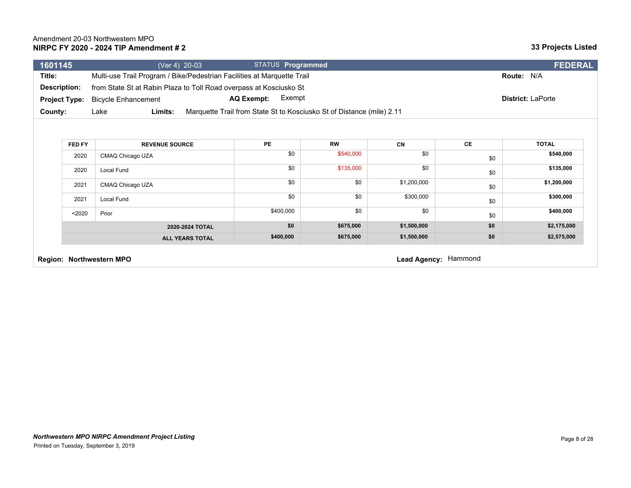| 1601145              |                            | (Ver 4) 20-03                                                           | STATUS <b>Programmed</b>                                              | <b>FEDERAL</b>           |
|----------------------|----------------------------|-------------------------------------------------------------------------|-----------------------------------------------------------------------|--------------------------|
| Title:               |                            | Multi-use Trail Program / Bike/Pedestrian Facilities at Marguette Trail |                                                                       | <b>Route: N/A</b>        |
| Description:         |                            | from State St at Rabin Plaza to Toll Road overpass at Kosciusko St      |                                                                       |                          |
| <b>Project Type:</b> | <b>Bicycle Enhancement</b> | <b>AQ Exempt:</b>                                                       | Exempt                                                                | <b>District: LaPorte</b> |
| County:              | Lake<br>Limits:            |                                                                         | Marquette Trail from State St to Kosciusko St of Distance (mile) 2.11 |                          |
|                      |                            |                                                                         |                                                                       |                          |

| FED FY | <b>REVENUE SOURCE</b>  | <b>PE</b> | <b>RW</b> | <b>CN</b>   | <b>CE</b> | <b>TOTAL</b> |
|--------|------------------------|-----------|-----------|-------------|-----------|--------------|
| 2020   | CMAQ Chicago UZA       | \$0       | \$540,000 | \$0         | \$0       | \$540,000    |
| 2020   | Local Fund             | \$0       | \$135,000 | \$0         | \$0       | \$135,000    |
| 2021   | CMAQ Chicago UZA       | \$0       | \$0       | \$1,200,000 | \$0       | \$1,200,000  |
| 2021   | Local Fund             | \$0       | \$0       | \$300,000   | \$0       | \$300,000    |
| $2020$ | Prior                  | \$400,000 | \$0       | \$0         | \$0       | \$400,000    |
|        | 2020-2024 TOTAL        | \$0       | \$675,000 | \$1,500,000 | \$0       | \$2,175,000  |
|        | <b>ALL YEARS TOTAL</b> | \$400,000 | \$675,000 | \$1,500,000 | \$0       | \$2,575,000  |

**Region: Northwestern MPO Lead Agency:** Hammond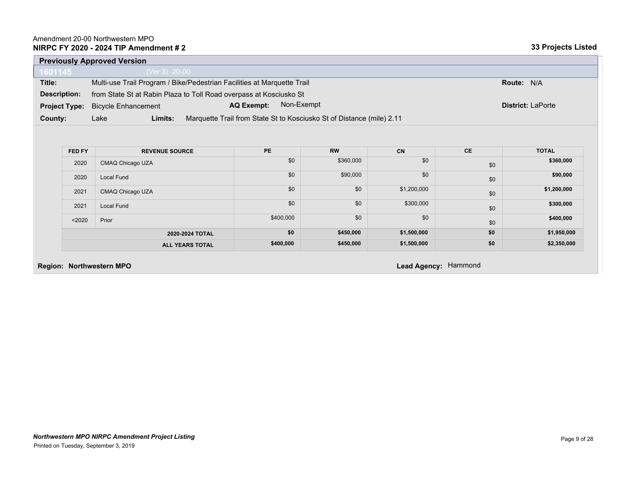|                      | <b>Previously Approved Version</b> |                                                                         |                          |  |  |
|----------------------|------------------------------------|-------------------------------------------------------------------------|--------------------------|--|--|
| 1601145              | (Ver 3) $20-00$                    |                                                                         |                          |  |  |
| Title:               |                                    | Multi-use Trail Program / Bike/Pedestrian Facilities at Marquette Trail | <b>Route: N/A</b>        |  |  |
| Description:         |                                    | from State St at Rabin Plaza to Toll Road overpass at Kosciusko St      |                          |  |  |
| <b>Project Type:</b> | <b>Bicycle Enhancement</b>         | Non-Exempt<br><b>AQ Exempt:</b>                                         | <b>District: LaPorte</b> |  |  |
| County:              | Lake<br>Limits:                    | Marquette Trail from State St to Kosciusko St of Distance (mile) 2.11   |                          |  |  |

| <b>FED FY</b> | <b>REVENUE SOURCE</b>  | <b>PE</b> | <b>RW</b> | <b>CN</b>   | <b>CE</b> | <b>TOTAL</b> |
|---------------|------------------------|-----------|-----------|-------------|-----------|--------------|
| 2020          | CMAQ Chicago UZA       | \$0       | \$360,000 | \$0         | \$0       | \$360,000    |
| 2020          | Local Fund             | \$0       | \$90,000  | \$0         | \$0       | \$90,000     |
| 2021          | CMAQ Chicago UZA       | \$0       | \$0       | \$1,200,000 | \$0       | \$1,200,000  |
| 2021          | <b>Local Fund</b>      | \$0       | \$0       | \$300,000   | \$0       | \$300,000    |
| $2020$        | Prior                  | \$400,000 | \$0       | \$0         | \$0       | \$400,000    |
|               | 2020-2024 TOTAL        | \$0       | \$450,000 | \$1,500,000 | \$0       | \$1,950,000  |
|               | <b>ALL YEARS TOTAL</b> | \$400,000 | \$450,000 | \$1,500,000 | \$0       | \$2,350,000  |

# **Region: Northwestern MPO Lead Agency:** Hammond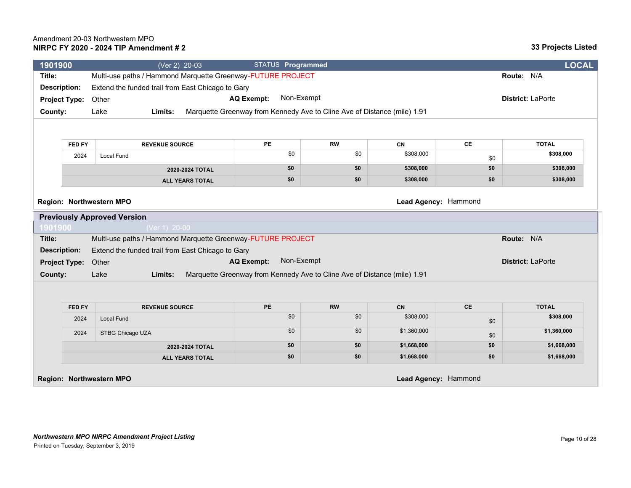| 1901900             |                      | (Ver 2) 20-03                                               |                        | STATUS Programmed                                                        |           |                      |               | <b>LOCAL</b>             |
|---------------------|----------------------|-------------------------------------------------------------|------------------------|--------------------------------------------------------------------------|-----------|----------------------|---------------|--------------------------|
| Title:              |                      | Multi-use paths / Hammond Marquette Greenway-FUTURE PROJECT |                        |                                                                          |           |                      |               | Route: N/A               |
| <b>Description:</b> |                      | Extend the funded trail from East Chicago to Gary           |                        |                                                                          |           |                      |               |                          |
|                     | <b>Project Type:</b> | Other                                                       |                        | Non-Exempt<br><b>AQ Exempt:</b>                                          |           |                      |               | District: LaPorte        |
| County:             |                      | Lake<br>Limits:                                             |                        | Marquette Greenway from Kennedy Ave to Cline Ave of Distance (mile) 1.91 |           |                      |               |                          |
|                     |                      |                                                             |                        |                                                                          |           |                      |               |                          |
|                     | FED FY               | <b>REVENUE SOURCE</b>                                       |                        | PE                                                                       | <b>RW</b> | CN                   | CE            | <b>TOTAL</b>             |
|                     | 2024                 | Local Fund                                                  |                        | \$0                                                                      | \$0       | \$308,000            |               | \$308,000                |
|                     |                      |                                                             |                        |                                                                          |           |                      | \$0           |                          |
|                     |                      |                                                             | 2020-2024 TOTAL        | \$0                                                                      | \$0       | \$308,000            | \$0           | \$308,000                |
|                     |                      |                                                             | <b>ALL YEARS TOTAL</b> | \$0                                                                      | \$0       | \$308,000            | \$0           | \$308,000                |
|                     |                      | Region: Northwestern MPO                                    |                        |                                                                          |           | Lead Agency: Hammond |               |                          |
|                     |                      | <b>Previously Approved Version</b>                          |                        |                                                                          |           |                      |               |                          |
| 1901900             |                      | (Ver 1) 20-00                                               |                        |                                                                          |           |                      |               |                          |
| Title:              |                      | Multi-use paths / Hammond Marquette Greenway-FUTURE PROJECT |                        |                                                                          |           |                      |               | Route: N/A               |
| <b>Description:</b> |                      | Extend the funded trail from East Chicago to Gary           |                        |                                                                          |           |                      |               |                          |
|                     | <b>Project Type:</b> | Other                                                       |                        | Non-Exempt<br><b>AQ Exempt:</b>                                          |           |                      |               | <b>District: LaPorte</b> |
| County:             |                      | Lake<br>Limits:                                             |                        | Marquette Greenway from Kennedy Ave to Cline Ave of Distance (mile) 1.91 |           |                      |               |                          |
|                     |                      |                                                             |                        |                                                                          |           |                      |               |                          |
|                     | FED FY               | <b>REVENUE SOURCE</b>                                       |                        | PE                                                                       | <b>RW</b> | CN                   | $\mathsf{CE}$ | <b>TOTAL</b>             |
|                     | 2024                 | Local Fund                                                  |                        | \$0                                                                      | \$0       | \$308,000            | \$0           | \$308,000                |
|                     | 2024                 | STBG Chicago UZA                                            |                        | \$0                                                                      | \$0       | \$1,360,000          | \$0           | \$1,360,000              |
|                     |                      |                                                             | 2020-2024 TOTAL        | \$0                                                                      | \$0       | \$1,668,000          | \$0           | \$1,668,000              |
|                     |                      |                                                             | <b>ALL YEARS TOTAL</b> | \$0                                                                      | \$0       | \$1,668,000          | \$0           | \$1,668,000              |
|                     |                      | <b>Region: Northwestern MPO</b>                             |                        |                                                                          |           | Lead Agency: Hammond |               |                          |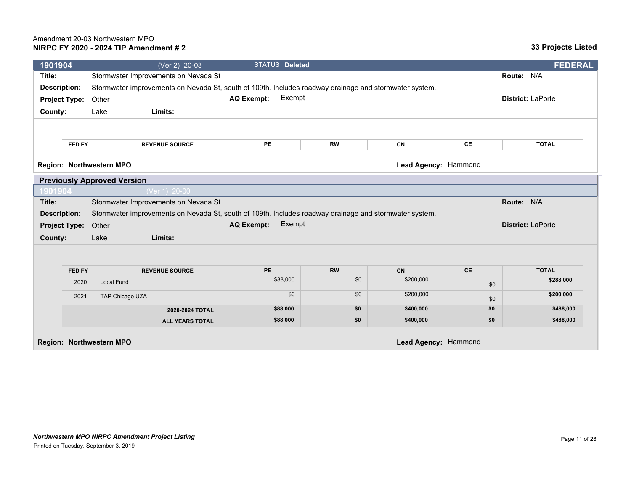| 1901904             |                      | (Ver 2) 20-03                                                                                          | <b>STATUS Deleted</b>       |           |                      |           | <b>FEDERAL</b>           |
|---------------------|----------------------|--------------------------------------------------------------------------------------------------------|-----------------------------|-----------|----------------------|-----------|--------------------------|
| Title:              |                      | Stormwater Improvements on Nevada St                                                                   |                             |           |                      |           | Route: N/A               |
| <b>Description:</b> |                      | Stormwater improvements on Nevada St, south of 109th. Includes roadway drainage and stormwater system. |                             |           |                      |           |                          |
|                     | <b>Project Type:</b> | Other                                                                                                  | Exempt<br><b>AQ Exempt:</b> |           |                      |           | <b>District: LaPorte</b> |
| County:             |                      | Limits:<br>Lake                                                                                        |                             |           |                      |           |                          |
|                     |                      |                                                                                                        |                             |           |                      |           |                          |
|                     | FED FY               | <b>REVENUE SOURCE</b>                                                                                  | PE                          | <b>RW</b> | CN                   | CE        | <b>TOTAL</b>             |
|                     |                      | Region: Northwestern MPO                                                                               |                             |           | Lead Agency: Hammond |           |                          |
|                     |                      | <b>Previously Approved Version</b>                                                                     |                             |           |                      |           |                          |
| 1901904             |                      | (Ver 1) 20-00                                                                                          |                             |           |                      |           |                          |
| Title:              |                      | Stormwater Improvements on Nevada St                                                                   |                             |           |                      |           | Route: N/A               |
| <b>Description:</b> |                      | Stormwater improvements on Nevada St, south of 109th. Includes roadway drainage and stormwater system. |                             |           |                      |           |                          |
|                     | <b>Project Type:</b> | Other                                                                                                  | Exempt<br><b>AQ Exempt:</b> |           |                      |           | <b>District: LaPorte</b> |
| County:             |                      | Lake<br>Limits:                                                                                        |                             |           |                      |           |                          |
|                     |                      |                                                                                                        |                             |           |                      |           |                          |
|                     | <b>FED FY</b>        | <b>REVENUE SOURCE</b>                                                                                  | <b>PE</b>                   | <b>RW</b> | CN                   | <b>CE</b> | <b>TOTAL</b>             |
|                     | 2020                 | <b>Local Fund</b>                                                                                      | \$88,000                    | \$0       | \$200,000            | \$0       | \$288,000                |
|                     | 2021                 | TAP Chicago UZA                                                                                        | \$0                         | \$0       | \$200,000            | \$0       | \$200,000                |
|                     |                      | 2020-2024 TOTAL                                                                                        | \$88,000                    | \$0       | \$400,000            | \$0       | \$488,000                |
|                     |                      | <b>ALL YEARS TOTAL</b>                                                                                 | \$88,000                    | \$0       | \$400,000            | \$0       | \$488,000                |
|                     |                      | Region: Northwestern MPO                                                                               |                             |           | Lead Agency: Hammond |           |                          |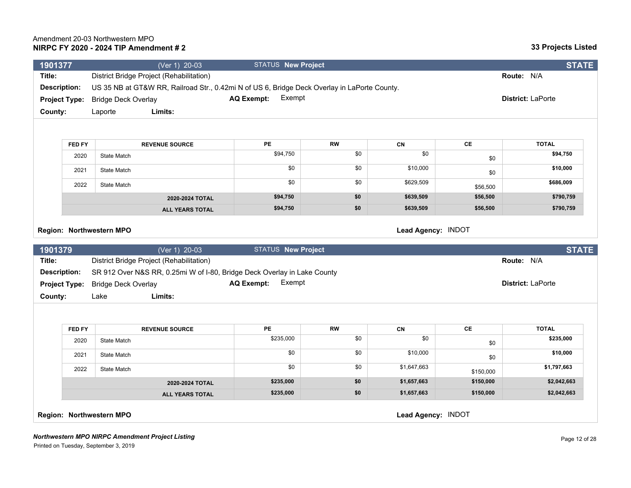| 1901377             |                      | (Ver 1) 20-03                                                                                | <b>STATUS New Project</b>   |           |                    |               | <b>STATE</b>             |
|---------------------|----------------------|----------------------------------------------------------------------------------------------|-----------------------------|-----------|--------------------|---------------|--------------------------|
| Title:              |                      | District Bridge Project (Rehabilitation)                                                     |                             |           |                    |               | Route: N/A               |
| <b>Description:</b> |                      | US 35 NB at GT&W RR, Railroad Str., 0.42mi N of US 6, Bridge Deck Overlay in LaPorte County. |                             |           |                    |               |                          |
|                     | <b>Project Type:</b> | <b>Bridge Deck Overlay</b>                                                                   | Exempt<br><b>AQ Exempt:</b> |           |                    |               | District: LaPorte        |
| County:             |                      | Limits:<br>Laporte                                                                           |                             |           |                    |               |                          |
|                     |                      |                                                                                              |                             |           |                    |               |                          |
|                     | FED FY               | <b>REVENUE SOURCE</b>                                                                        | PE                          | <b>RW</b> | <b>CN</b>          | <b>CE</b>     | <b>TOTAL</b>             |
|                     | 2020                 | State Match                                                                                  | \$94,750                    | \$0       | \$0                |               | \$94,750                 |
|                     |                      |                                                                                              | \$0                         | \$0       | \$10,000           | \$0           |                          |
|                     | 2021                 | State Match                                                                                  |                             |           |                    | \$0           | \$10,000                 |
|                     | 2022                 | State Match                                                                                  | \$0                         | \$0       | \$629,509          | \$56,500      | \$686,009                |
|                     |                      | 2020-2024 TOTAL                                                                              | \$94,750                    | \$0       | \$639,509          | \$56,500      | \$790,759                |
|                     |                      | <b>ALL YEARS TOTAL</b>                                                                       | \$94,750                    | \$0       | \$639,509          | \$56,500      | \$790,759                |
|                     |                      | Region: Northwestern MPO                                                                     |                             |           | Lead Agency: INDOT |               |                          |
| 1901379             |                      | (Ver 1) 20-03                                                                                | <b>STATUS New Project</b>   |           |                    |               | <b>STATE</b>             |
| Title:              |                      | District Bridge Project (Rehabilitation)                                                     |                             |           |                    |               | Route: N/A               |
| <b>Description:</b> |                      | SR 912 Over N&S RR, 0.25mi W of I-80, Bridge Deck Overlay in Lake County                     |                             |           |                    |               |                          |
|                     | <b>Project Type:</b> | <b>Bridge Deck Overlay</b>                                                                   | Exempt<br><b>AQ Exempt:</b> |           |                    |               | <b>District: LaPorte</b> |
| County:             |                      | Limits:<br>Lake                                                                              |                             |           |                    |               |                          |
|                     |                      |                                                                                              |                             |           |                    |               |                          |
|                     | FED FY               | <b>REVENUE SOURCE</b>                                                                        | PE                          | <b>RW</b> | CN                 | $\mathsf{CE}$ | <b>TOTAL</b>             |
|                     | 2020                 | State Match                                                                                  | \$235,000                   | \$0       | \$0                | \$0           | \$235,000                |
|                     | 2021                 | State Match                                                                                  | \$0                         | \$0       | \$10,000           | \$0           | \$10,000                 |
|                     | 2022                 | <b>State Match</b>                                                                           | \$0                         | \$0       | \$1,647,663        | \$150,000     | \$1,797,663              |
|                     |                      | 2020-2024 TOTAL                                                                              | \$235,000                   | \$0       | \$1,657,663        | \$150,000     | \$2,042,663              |
|                     |                      | <b>ALL YEARS TOTAL</b>                                                                       | \$235,000                   | \$0       | \$1,657,663        | \$150,000     | \$2,042,663              |
|                     |                      | Region: Northwestern MPO                                                                     |                             |           | Lead Agency: INDOT |               |                          |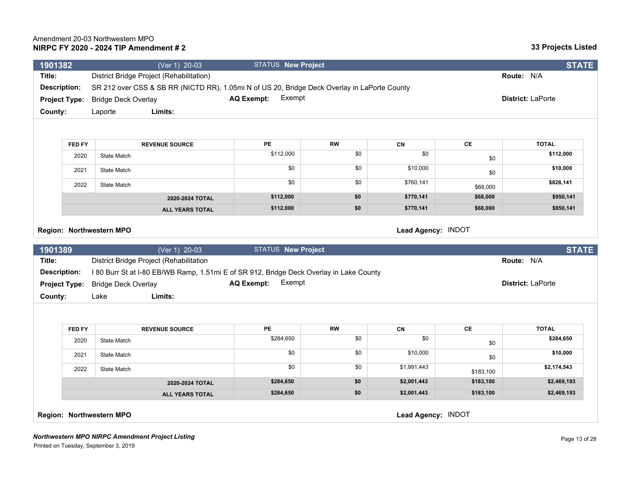| 1901382             |                      | (Ver 1) 20-03                                                                                | <b>STATUS New Project</b>   |           |                    |           | <b>STATE</b>               |
|---------------------|----------------------|----------------------------------------------------------------------------------------------|-----------------------------|-----------|--------------------|-----------|----------------------------|
| Title:              |                      | District Bridge Project (Rehabilitation)                                                     |                             |           |                    |           | Route: N/A                 |
| <b>Description:</b> |                      | SR 212 over CSS & SB RR (NICTD RR), 1.05mi N of US 20, Bridge Deck Overlay in LaPorte County |                             |           |                    |           |                            |
|                     | <b>Project Type:</b> | <b>Bridge Deck Overlay</b>                                                                   | Exempt<br><b>AQ Exempt:</b> |           |                    |           | District: LaPorte          |
| County:             |                      | Limits:<br>Laporte                                                                           |                             |           |                    |           |                            |
|                     |                      |                                                                                              |                             |           |                    |           |                            |
|                     | FED FY               | <b>REVENUE SOURCE</b>                                                                        | PE                          | <b>RW</b> | CN                 | <b>CE</b> | <b>TOTAL</b>               |
|                     | 2020                 | State Match                                                                                  | \$112,000                   | \$0       | \$0                | \$0       | \$112,000                  |
|                     | 2021                 | State Match                                                                                  | \$0                         | \$0       | \$10,000           | \$0       | \$10,000                   |
|                     | 2022                 | State Match                                                                                  | \$0                         | \$0       | \$760,141          | \$68,000  | \$828,141                  |
|                     |                      | 2020-2024 TOTAL                                                                              | \$112,000                   | \$0       | \$770,141          | \$68,000  | \$950,141                  |
|                     |                      | <b>ALL YEARS TOTAL</b>                                                                       | \$112,000                   | \$0       | \$770,141          | \$68,000  | \$950,141                  |
| 1901389<br>Title:   |                      | (Ver 1) 20-03<br>District Bridge Project (Rehabilitation                                     | <b>STATUS New Project</b>   |           |                    |           | <b>STATE</b><br>Route: N/A |
| <b>Description:</b> |                      | I 80 Burr St at I-80 EB/WB Ramp, 1.51mi E of SR 912, Bridge Deck Overlay in Lake County      |                             |           |                    |           |                            |
|                     | <b>Project Type:</b> | <b>Bridge Deck Overlay</b>                                                                   | Exempt<br><b>AQ Exempt:</b> |           |                    |           | District: LaPorte          |
| County:             |                      | Lake<br>Limits:                                                                              |                             |           |                    |           |                            |
|                     |                      |                                                                                              |                             |           |                    |           |                            |
|                     | FED FY               | <b>REVENUE SOURCE</b>                                                                        | PE                          | <b>RW</b> | CN                 | CE        | <b>TOTAL</b>               |
|                     | 2020                 | State Match                                                                                  | \$284,650                   | \$0       | \$0                | \$0       | \$284,650                  |
|                     | 2021                 | State Match                                                                                  | \$0                         | \$0       | \$10,000           | \$0       | \$10,000                   |
|                     | 2022                 | State Match                                                                                  | \$0                         | \$0       | \$1,991,443        | \$183,100 | \$2,174,543                |
|                     |                      | 2020-2024 TOTAL                                                                              | \$284,650                   | \$0       | \$2,001,443        | \$183,100 | \$2,469,193                |
|                     |                      | <b>ALL YEARS TOTAL</b>                                                                       | \$284,650                   | \$0       | \$2,001,443        | \$183,100 | \$2,469,193                |
|                     |                      | Region: Northwestern MPO                                                                     |                             |           | Lead Agency: INDOT |           |                            |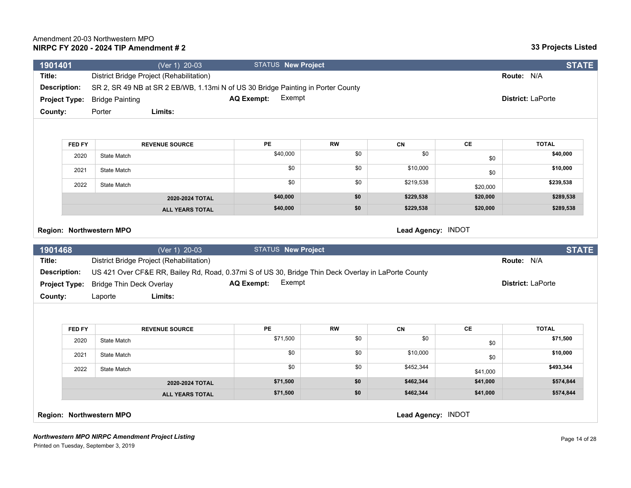| 1901401                  | (Ver 1) 20-03                                                                                                                                   | <b>STATUS New Project</b>   |           |                    |          | <b>STATE</b>               |
|--------------------------|-------------------------------------------------------------------------------------------------------------------------------------------------|-----------------------------|-----------|--------------------|----------|----------------------------|
| Title:                   | District Bridge Project (Rehabilitation)                                                                                                        |                             |           |                    |          | Route: N/A                 |
| <b>Description:</b>      | SR 2, SR 49 NB at SR 2 EB/WB, 1.13mi N of US 30 Bridge Painting in Porter County                                                                |                             |           |                    |          |                            |
| <b>Project Type:</b>     | <b>Bridge Painting</b>                                                                                                                          | Exempt<br><b>AQ Exempt:</b> |           |                    |          | District: LaPorte          |
| County:                  | Limits:<br>Porter                                                                                                                               |                             |           |                    |          |                            |
|                          |                                                                                                                                                 |                             |           |                    |          |                            |
| FED FY                   | <b>REVENUE SOURCE</b>                                                                                                                           | PE                          | <b>RW</b> | CN                 | CE       | <b>TOTAL</b>               |
| 2020                     | State Match                                                                                                                                     | \$40,000                    | \$0       | \$0                | \$0      | \$40,000                   |
| 2021                     | <b>State Match</b>                                                                                                                              | \$0                         | \$0       | \$10,000           | \$0      | \$10,000                   |
| 2022                     | <b>State Match</b>                                                                                                                              | \$0                         | \$0       | \$219,538          | \$20,000 | \$239,538                  |
|                          | 2020-2024 TOTAL                                                                                                                                 | \$40,000                    | \$0       | \$229,538          | \$20,000 | \$289,538                  |
|                          |                                                                                                                                                 |                             |           | \$229,538          | \$20,000 | \$289,538                  |
| Region: Northwestern MPO | <b>ALL YEARS TOTAL</b>                                                                                                                          | \$40,000                    | \$0       | Lead Agency: INDOT |          |                            |
|                          |                                                                                                                                                 |                             |           |                    |          |                            |
| 1901468<br>Title:        | (Ver 1) 20-03                                                                                                                                   | <b>STATUS New Project</b>   |           |                    |          | <b>STATE</b><br>Route: N/A |
| <b>Description:</b>      | District Bridge Project (Rehabilitation)<br>US 421 Over CF&E RR, Bailey Rd, Road, 0.37mi S of US 30, Bridge Thin Deck Overlay in LaPorte County |                             |           |                    |          |                            |
| <b>Project Type:</b>     | <b>Bridge Thin Deck Overlay</b>                                                                                                                 | <b>AQ Exempt:</b><br>Exempt |           |                    |          | District: LaPorte          |
| County:                  | Limits:<br>Laporte                                                                                                                              |                             |           |                    |          |                            |
|                          |                                                                                                                                                 |                             |           |                    |          |                            |
| FED FY                   | <b>REVENUE SOURCE</b>                                                                                                                           | <b>PE</b>                   | <b>RW</b> | CN                 | CE       | <b>TOTAL</b>               |
| 2020                     | <b>State Match</b>                                                                                                                              | \$71,500                    | \$0       | \$0                | \$0      | \$71,500                   |
| 2021                     | State Match                                                                                                                                     | \$0                         | \$0       | \$10,000           | \$0      | \$10,000                   |
| 2022                     | <b>State Match</b>                                                                                                                              | \$0                         | \$0       | \$452,344          | \$41,000 | \$493,344                  |
|                          | 2020-2024 TOTAL                                                                                                                                 | \$71,500<br>\$71,500        | \$0       | \$462,344          | \$41,000 | \$574,844<br>\$574,844     |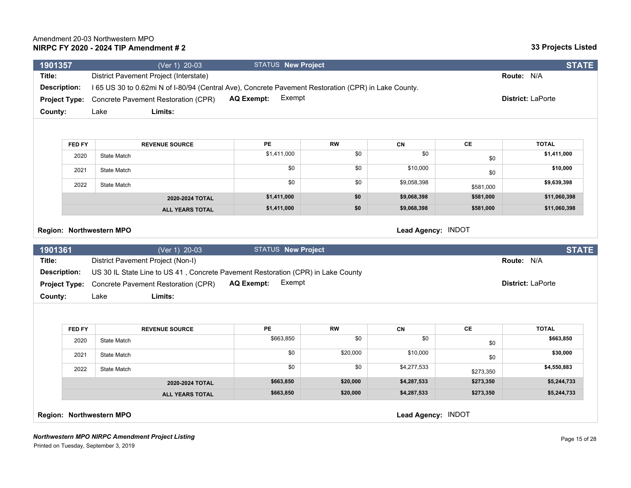| 1901357              |               | (Ver 1) 20-03                                                                                       | <b>STATUS New Project</b>   |           |                    |           | <b>STATE</b>             |
|----------------------|---------------|-----------------------------------------------------------------------------------------------------|-----------------------------|-----------|--------------------|-----------|--------------------------|
| Title:               |               | District Pavement Project (Interstate)                                                              |                             |           |                    |           | Route: N/A               |
| <b>Description:</b>  |               | 165 US 30 to 0.62mi N of I-80/94 (Central Ave), Concrete Pavement Restoration (CPR) in Lake County. |                             |           |                    |           |                          |
| <b>Project Type:</b> |               | Concrete Pavement Restoration (CPR)                                                                 | Exempt<br><b>AQ Exempt:</b> |           |                    |           | <b>District: LaPorte</b> |
| County:              |               | Limits:<br>Lake                                                                                     |                             |           |                    |           |                          |
|                      |               |                                                                                                     |                             |           |                    |           |                          |
|                      | <b>FED FY</b> | <b>REVENUE SOURCE</b>                                                                               | PE.                         | <b>RW</b> | CN                 | <b>CE</b> | <b>TOTAL</b>             |
|                      | 2020          | State Match                                                                                         | \$1,411,000                 | \$0       | \$0                | \$0       | \$1,411,000              |
|                      | 2021          | <b>State Match</b>                                                                                  | \$0                         | \$0       | \$10,000           | \$0       | \$10,000                 |
|                      | 2022          | State Match                                                                                         | \$0                         | \$0       | \$9,058,398        | \$581,000 | \$9,639,398              |
|                      |               | 2020-2024 TOTAL                                                                                     | \$1,411,000                 | \$0       | \$9,068,398        | \$581,000 | \$11,060,398             |
|                      |               | <b>ALL YEARS TOTAL</b>                                                                              | \$1,411,000                 | \$0       | \$9,068,398        | \$581,000 | \$11,060,398             |
| 1901361              |               | (Ver 1) 20-03                                                                                       | <b>STATUS New Project</b>   |           |                    |           | <b>STATE</b>             |
| Title:               |               | District Pavement Project (Non-I)                                                                   |                             |           |                    |           | Route: N/A               |
| <b>Description:</b>  |               | US 30 IL State Line to US 41, Concrete Pavement Restoration (CPR) in Lake County                    |                             |           |                    |           |                          |
| <b>Project Type:</b> |               | Concrete Pavement Restoration (CPR)                                                                 | Exempt<br><b>AQ Exempt:</b> |           |                    |           | <b>District: LaPorte</b> |
| County:              |               | Lake<br>Limits:                                                                                     |                             |           |                    |           |                          |
|                      |               |                                                                                                     |                             |           |                    |           |                          |
|                      | <b>FED FY</b> | <b>REVENUE SOURCE</b>                                                                               | PE                          | <b>RW</b> | CN                 | CE        | <b>TOTAL</b>             |
|                      | 2020          | State Match                                                                                         | \$663,850                   | \$0       | \$0                | \$0       | \$663,850                |
|                      | 2021          | State Match                                                                                         | \$0                         | \$20,000  | \$10,000           | \$0       | \$30,000                 |
|                      | 2022          | State Match                                                                                         | \$0                         | \$0       | \$4,277,533        | \$273,350 | \$4,550,883              |
|                      |               | 2020-2024 TOTAL                                                                                     | \$663,850                   | \$20,000  | \$4,287,533        | \$273,350 | \$5,244,733              |
|                      |               | <b>ALL YEARS TOTAL</b>                                                                              | \$663,850                   | \$20,000  | \$4,287,533        | \$273,350 | \$5,244,733              |
|                      |               | Region: Northwestern MPO                                                                            |                             |           | Lead Agency: INDOT |           |                          |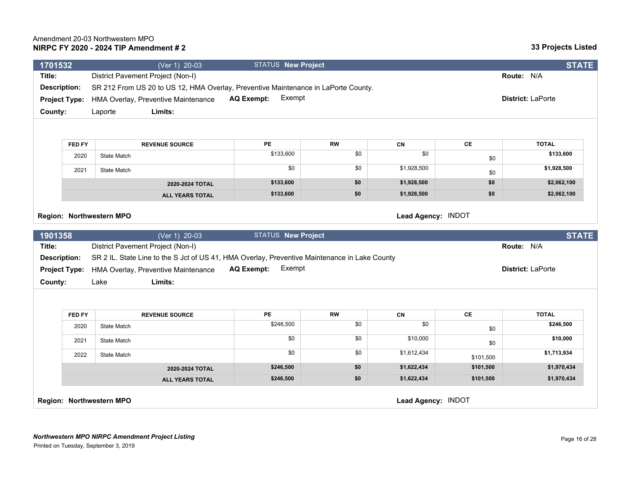#### *Northwestern MPO NIRPC Amendment Project Listing* Printed on Tuesday, September 3, 2019

| Title:                                   |               | District Pavement Project (Non-I)                                                             |                             |           |                    |           | Route: N/A        |
|------------------------------------------|---------------|-----------------------------------------------------------------------------------------------|-----------------------------|-----------|--------------------|-----------|-------------------|
| <b>Description:</b>                      |               | SR 212 From US 20 to US 12, HMA Overlay, Preventive Maintenance in LaPorte County.            |                             |           |                    |           |                   |
| <b>Project Type:</b>                     |               | HMA Overlay, Preventive Maintenance                                                           | Exempt<br><b>AQ Exempt:</b> |           |                    |           | District: LaPorte |
| County:                                  |               | Laporte<br>Limits:                                                                            |                             |           |                    |           |                   |
|                                          |               |                                                                                               |                             |           |                    |           |                   |
|                                          |               |                                                                                               |                             |           |                    |           |                   |
|                                          | <b>FED FY</b> | <b>REVENUE SOURCE</b>                                                                         | PE                          | <b>RW</b> | CN                 | CE        | <b>TOTAL</b>      |
|                                          | 2020          | State Match                                                                                   | \$133,600                   | \$0       | \$0                | \$0       | \$133,600         |
|                                          | 2021          | State Match                                                                                   | \$0                         | \$0       | \$1,928,500        | \$0       | \$1,928,500       |
|                                          |               | 2020-2024 TOTAL                                                                               | \$133,600                   | \$0       | \$1,928,500        | \$0       | \$2,062,100       |
|                                          |               | <b>ALL YEARS TOTAL</b>                                                                        | \$133,600                   | \$0       | \$1,928,500        | \$0       | \$2,062,100       |
|                                          |               |                                                                                               |                             |           |                    |           |                   |
|                                          |               |                                                                                               |                             |           | Lead Agency: INDOT |           |                   |
|                                          |               | Region: Northwestern MPO                                                                      |                             |           |                    |           |                   |
|                                          |               |                                                                                               |                             |           |                    |           |                   |
|                                          |               | $\sqrt{(Ver 1)}$ 20-03                                                                        | <b>STATUS New Project</b>   |           |                    |           | <b>STATE</b>      |
|                                          |               | District Pavement Project (Non-I)                                                             |                             |           |                    |           | Route: N/A        |
| 1901358<br>Title:<br><b>Description:</b> |               | SR 2 IL. State Line to the S Jct of US 41, HMA Overlay, Preventive Maintenance in Lake County |                             |           |                    |           |                   |
| <b>Project Type:</b>                     |               | HMA Overlay, Preventive Maintenance                                                           | Exempt<br><b>AQ Exempt:</b> |           |                    |           | District: LaPorte |
| County:                                  |               | Limits:<br>Lake                                                                               |                             |           |                    |           |                   |
|                                          |               |                                                                                               |                             |           |                    |           |                   |
|                                          | <b>FED FY</b> | <b>REVENUE SOURCE</b>                                                                         | PE                          | <b>RW</b> | CN                 | CE        | <b>TOTAL</b>      |
|                                          | 2020          | State Match                                                                                   | \$246,500                   | \$0       | \$0                | \$0       | \$246,500         |
|                                          | 2021          | State Match                                                                                   | \$0                         | \$0       | \$10,000           | \$0       | \$10,000          |
|                                          | 2022          | State Match                                                                                   | \$0                         | \$0       | \$1,612,434        | \$101,500 | \$1,713,934       |
|                                          |               | 2020-2024 TOTAL                                                                               | \$246,500                   | \$0       | \$1,622,434        | \$101,500 | \$1,970,434       |
|                                          |               | <b>ALL YEARS TOTAL</b>                                                                        | \$246,500                   | \$0       | \$1,622,434        | \$101,500 | \$1,970,434       |
|                                          |               |                                                                                               |                             |           |                    |           |                   |

**1701532** (Ver 1) 20-03 STATUS **New Project STATE**

## **NIRPC FY 2020 - 2024 TIP Amendment # 2** Amendment 20-03 Northwestern MPO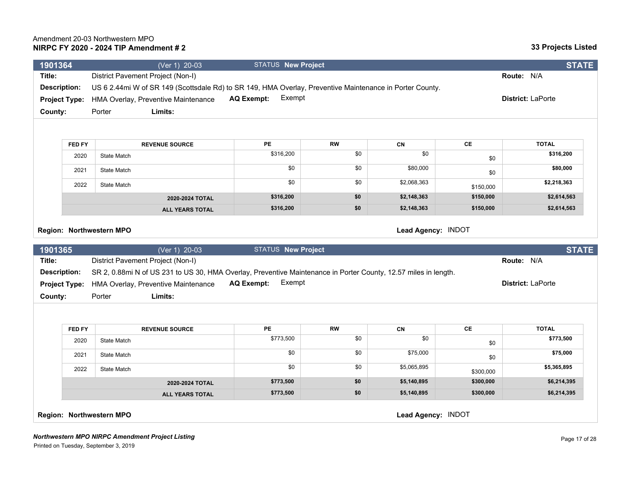| 1901364              |                      | (Ver 1) 20-03                                                                                                   | <b>STATUS New Project</b>   |           |                    |           | <b>STATE</b>      |
|----------------------|----------------------|-----------------------------------------------------------------------------------------------------------------|-----------------------------|-----------|--------------------|-----------|-------------------|
| Title:               |                      | District Pavement Project (Non-I)                                                                               |                             |           |                    |           | Route: N/A        |
| <b>Description:</b>  |                      | US 6 2.44mi W of SR 149 (Scottsdale Rd) to SR 149, HMA Overlay, Preventive Maintenance in Porter County.        |                             |           |                    |           |                   |
|                      | <b>Project Type:</b> | HMA Overlay, Preventive Maintenance                                                                             | Exempt<br><b>AQ Exempt:</b> |           |                    |           | District: LaPorte |
| County:              |                      | Limits:<br>Porter                                                                                               |                             |           |                    |           |                   |
|                      |                      |                                                                                                                 |                             |           |                    |           |                   |
|                      | <b>FED FY</b>        | <b>REVENUE SOURCE</b>                                                                                           | <b>PE</b>                   | <b>RW</b> | CN                 | CE        | <b>TOTAL</b>      |
|                      | 2020                 | State Match                                                                                                     | \$316,200                   | \$0       | \$0                | \$0       | \$316,200         |
|                      | 2021                 | State Match                                                                                                     | \$0                         | \$0       | \$80,000           | \$0       | \$80,000          |
|                      | 2022                 | <b>State Match</b>                                                                                              | \$0                         | \$0       | \$2,068,363        | \$150,000 | \$2,218,363       |
|                      |                      | 2020-2024 TOTAL                                                                                                 | \$316,200                   | \$0       | \$2,148,363        | \$150,000 | \$2,614,563       |
|                      |                      | <b>ALL YEARS TOTAL</b>                                                                                          | \$316,200                   | \$0       | \$2,148,363        | \$150,000 | \$2,614,563       |
|                      |                      | Region: Northwestern MPO                                                                                        |                             |           | Lead Agency: INDOT |           |                   |
| 1901365              |                      | (Ver 1) 20-03                                                                                                   | <b>STATUS New Project</b>   |           |                    |           | <b>STATE</b>      |
| Title:               |                      | District Pavement Project (Non-I)                                                                               |                             |           |                    |           | Route: N/A        |
| <b>Description:</b>  |                      | SR 2, 0.88mi N of US 231 to US 30, HMA Overlay, Preventive Maintenance in Porter County, 12.57 miles in length. |                             |           |                    |           |                   |
| <b>Project Type:</b> |                      | HMA Overlay, Preventive Maintenance                                                                             | Exempt<br><b>AQ Exempt:</b> |           |                    |           | District: LaPorte |
| County:              |                      | Limits:<br>Porter                                                                                               |                             |           |                    |           |                   |
|                      |                      |                                                                                                                 |                             |           |                    |           |                   |
|                      | FED FY               | <b>REVENUE SOURCE</b>                                                                                           | <b>PE</b>                   | <b>RW</b> | CN                 | CE        | <b>TOTAL</b>      |
|                      | 2020                 | State Match                                                                                                     | \$773,500                   | \$0       | \$0                | \$0       | \$773,500         |
|                      | 2021                 | State Match                                                                                                     | \$0                         | \$0       | \$75,000           | \$0       | \$75,000          |
|                      | 2022                 | State Match                                                                                                     | \$0                         | \$0       | \$5,065,895        | \$300,000 | \$5,365,895       |
|                      |                      | 2020-2024 TOTAL                                                                                                 | \$773,500                   | \$0       | \$5,140,895        | \$300,000 | \$6,214,395       |
|                      |                      | <b>ALL YEARS TOTAL</b>                                                                                          | \$773,500                   | \$0       | \$5,140,895        | \$300,000 | \$6,214,395       |
|                      |                      | Region: Northwestern MPO                                                                                        |                             |           | Lead Agency: INDOT |           |                   |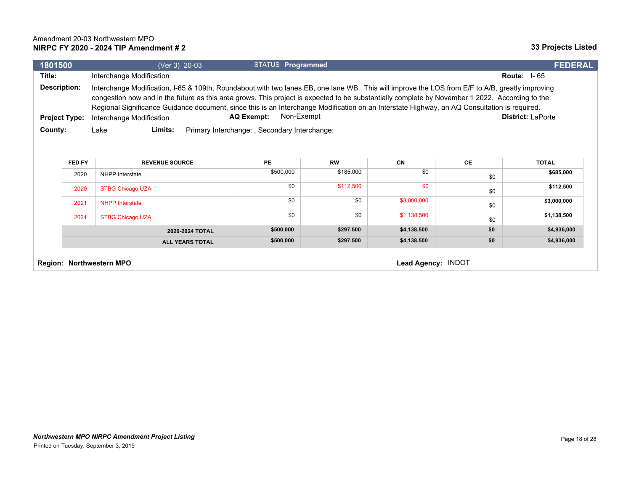## **33 Projects Listed**

| 1801500             |                      | (Ver 3) 20-03                                                                                                                                                                                                                                                                                                                                                                                                                                                                  | <b>STATUS Programmed</b>                     |           |             |           | <b>FEDERAL</b>           |
|---------------------|----------------------|--------------------------------------------------------------------------------------------------------------------------------------------------------------------------------------------------------------------------------------------------------------------------------------------------------------------------------------------------------------------------------------------------------------------------------------------------------------------------------|----------------------------------------------|-----------|-------------|-----------|--------------------------|
| Title:              |                      | Interchange Modification                                                                                                                                                                                                                                                                                                                                                                                                                                                       |                                              |           |             |           | <b>Route: 1-65</b>       |
| <b>Description:</b> | <b>Project Type:</b> | Interchange Modification, I-65 & 109th, Roundabout with two lanes EB, one lane WB. This will improve the LOS from E/F to A/B, greatly improving<br>congestion now and in the future as this area grows. This project is expected to be substantially complete by November 1 2022. According to the<br>Regional Significance Guidance document, since this is an Interchange Modification on an Interstate Highway, an AQ Consultation is required.<br>Interchange Modification | Non-Exempt<br><b>AQ Exempt:</b>              |           |             |           | <b>District: LaPorte</b> |
| County:             |                      | Limits:<br>Lake                                                                                                                                                                                                                                                                                                                                                                                                                                                                | Primary Interchange:, Secondary Interchange: |           |             |           |                          |
|                     | FED FY               | <b>REVENUE SOURCE</b>                                                                                                                                                                                                                                                                                                                                                                                                                                                          | PE                                           | <b>RW</b> | CN          | <b>CE</b> | <b>TOTAL</b>             |
|                     | 2020                 | NHPP Interstate                                                                                                                                                                                                                                                                                                                                                                                                                                                                | \$500,000                                    | \$185,000 | \$0         | \$0       | \$685,000                |
|                     | 2020                 | <b>STBG Chicago UZA</b>                                                                                                                                                                                                                                                                                                                                                                                                                                                        | \$0                                          | \$112,500 | \$0         | \$0       | \$112,500                |
|                     | 2021                 | <b>NHPP Interstate</b>                                                                                                                                                                                                                                                                                                                                                                                                                                                         | \$0                                          | \$0       | \$3,000,000 | \$0       | \$3,000,000              |
|                     | 2021                 | <b>STBG Chicago UZA</b>                                                                                                                                                                                                                                                                                                                                                                                                                                                        | \$0                                          | \$0       | \$1,138,500 | \$0       | \$1,138,500              |

**Region: Northwestern MPO Lead Agency:** INDOT

**2020-2024 TOTAL \$500,000 \$297,500 \$4,138,500 \$0 \$4,936,000 ALL YEARS TOTAL \$500,000** \$500,000 \$297,500 \$4,138,500 \$4,138,500 \$0 \$4,936,000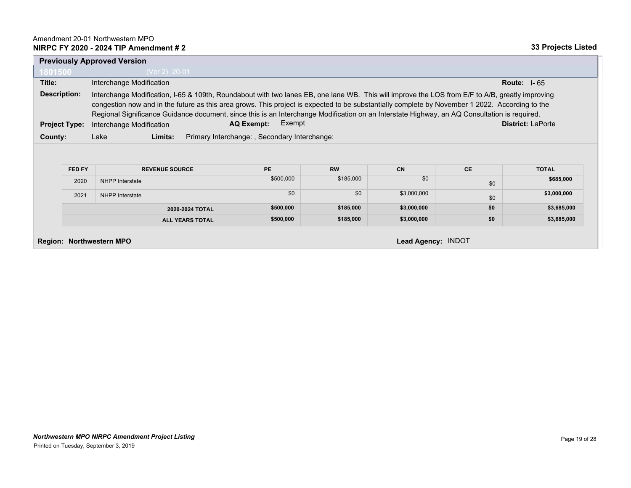|                      |        | <b>Previously Approved Version</b>                                                                                                                                                                                                                                                                                                                                                                                                                                                |                                              |           |     |                          |              |  |  |
|----------------------|--------|-----------------------------------------------------------------------------------------------------------------------------------------------------------------------------------------------------------------------------------------------------------------------------------------------------------------------------------------------------------------------------------------------------------------------------------------------------------------------------------|----------------------------------------------|-----------|-----|--------------------------|--------------|--|--|
| 1801500              |        | (Ver 2) 20-01                                                                                                                                                                                                                                                                                                                                                                                                                                                                     |                                              |           |     |                          |              |  |  |
| Title:               |        | Interchange Modification<br>Route: $1-65$                                                                                                                                                                                                                                                                                                                                                                                                                                         |                                              |           |     |                          |              |  |  |
| Description:         |        | Interchange Modification, I-65 & 109th, Roundabout with two lanes EB, one lane WB. This will improve the LOS from E/F to A/B, greatly improving<br>congestion now and in the future as this area grows. This project is expected to be substantially complete by November 1 2022. According to the<br>Regional Significance Guidance document, since this is an Interchange Modification on an Interstate Highway, an AQ Consultation is required.<br>Exempt<br><b>AQ Exempt:</b> |                                              |           |     |                          |              |  |  |
| <b>Project Type:</b> |        | Interchange Modification                                                                                                                                                                                                                                                                                                                                                                                                                                                          |                                              |           |     | <b>District: LaPorte</b> |              |  |  |
| County:              |        | Limits:<br>Lake                                                                                                                                                                                                                                                                                                                                                                                                                                                                   | Primary Interchange:, Secondary Interchange: |           |     |                          |              |  |  |
|                      |        |                                                                                                                                                                                                                                                                                                                                                                                                                                                                                   |                                              |           |     |                          |              |  |  |
|                      | FED FY | <b>REVENUE SOURCE</b>                                                                                                                                                                                                                                                                                                                                                                                                                                                             | <b>PE</b>                                    | <b>RW</b> | CN  | <b>CE</b>                | <b>TOTAL</b> |  |  |
|                      | 2020   | NHPP Interstate                                                                                                                                                                                                                                                                                                                                                                                                                                                                   | \$500,000                                    | \$185,000 | \$0 | \$0                      | \$685,000    |  |  |

| 2020-2024 TOTAL        | \$500,000 | \$185.000 | \$3,000,000 | \$0 | \$3,685,000 |
|------------------------|-----------|-----------|-------------|-----|-------------|
| <b>ALL YEARS TOTAL</b> | \$500,000 | \$185.000 | \$3,000,000 |     | \$3,685,000 |
|                        |           |           |             |     |             |

**Region: Northwestern MPO Lead Agency:** INDOT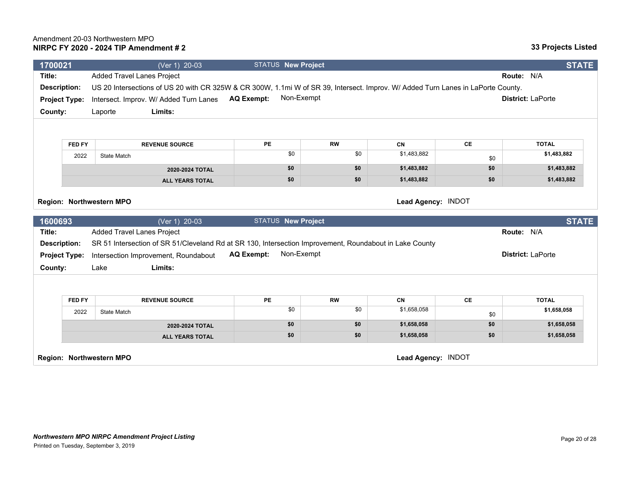| 1700021              |        | (Ver 1) 20-03                                                                                                                    | <b>STATUS New Project</b>       |           |                    |               | <b>STATE</b>             |  |
|----------------------|--------|----------------------------------------------------------------------------------------------------------------------------------|---------------------------------|-----------|--------------------|---------------|--------------------------|--|
| Title:               |        | <b>Added Travel Lanes Project</b>                                                                                                |                                 |           |                    |               | Route: N/A               |  |
| <b>Description:</b>  |        | US 20 Intersections of US 20 with CR 325W & CR 300W, 1.1mi W of SR 39, Intersect. Improv. W/ Added Turn Lanes in LaPorte County. |                                 |           |                    |               |                          |  |
| <b>Project Type:</b> |        | Intersect. Improv. W/ Added Turn Lanes                                                                                           | Non-Exempt<br><b>AQ Exempt:</b> |           |                    |               | District: LaPorte        |  |
| County:              |        | Limits:<br>Laporte                                                                                                               |                                 |           |                    |               |                          |  |
|                      |        |                                                                                                                                  |                                 |           |                    |               |                          |  |
|                      |        |                                                                                                                                  |                                 |           |                    |               |                          |  |
|                      | FED FY | <b>REVENUE SOURCE</b>                                                                                                            | <b>PE</b>                       | <b>RW</b> | CN                 | CE            | <b>TOTAL</b>             |  |
|                      | 2022   | <b>State Match</b>                                                                                                               | \$0                             | \$0       | \$1,483,882        | \$0           | \$1,483,882              |  |
|                      |        | 2020-2024 TOTAL                                                                                                                  | \$0                             | \$0       | \$1,483,882        | \$0           | \$1,483,882              |  |
|                      |        | <b>ALL YEARS TOTAL</b>                                                                                                           | \$0                             | \$0       | \$1,483,882        | \$0           | \$1,483,882              |  |
|                      |        |                                                                                                                                  |                                 |           |                    |               |                          |  |
|                      |        | Region: Northwestern MPO                                                                                                         |                                 |           | Lead Agency: INDOT |               |                          |  |
|                      |        |                                                                                                                                  |                                 |           |                    |               |                          |  |
| 1600693              |        | (Ver 1) 20-03                                                                                                                    | <b>STATUS New Project</b>       |           |                    |               | <b>STATE</b>             |  |
| Title:               |        | <b>Added Travel Lanes Project</b>                                                                                                |                                 |           |                    |               | Route: N/A               |  |
| <b>Description:</b>  |        | SR 51 Intersection of SR 51/Cleveland Rd at SR 130, Intersection Improvement, Roundabout in Lake County                          |                                 |           |                    |               |                          |  |
| <b>Project Type:</b> |        | Intersection Improvement, Roundabout                                                                                             | Non-Exempt<br><b>AQ Exempt:</b> |           |                    |               | <b>District: LaPorte</b> |  |
| County:              |        | Limits:<br>Lake                                                                                                                  |                                 |           |                    |               |                          |  |
|                      |        |                                                                                                                                  |                                 |           |                    |               |                          |  |
|                      |        |                                                                                                                                  |                                 |           |                    |               |                          |  |
|                      | FED FY | <b>REVENUE SOURCE</b>                                                                                                            | <b>PE</b>                       | <b>RW</b> | <b>CN</b>          | $\mathsf{CE}$ | <b>TOTAL</b>             |  |
|                      | 2022   | <b>State Match</b>                                                                                                               | \$0                             | \$0       | \$1,658,058        | \$0           | \$1,658,058              |  |
|                      |        | 2020-2024 TOTAL                                                                                                                  | \$0                             | \$0       | \$1,658,058        | \$0           | \$1,658,058              |  |
|                      |        | <b>ALL YEARS TOTAL</b>                                                                                                           | \$0                             | \$0       | \$1,658,058        | \$0           | \$1,658,058              |  |
|                      |        | Region: Northwestern MPO                                                                                                         |                                 |           | Lead Agency: INDOT |               |                          |  |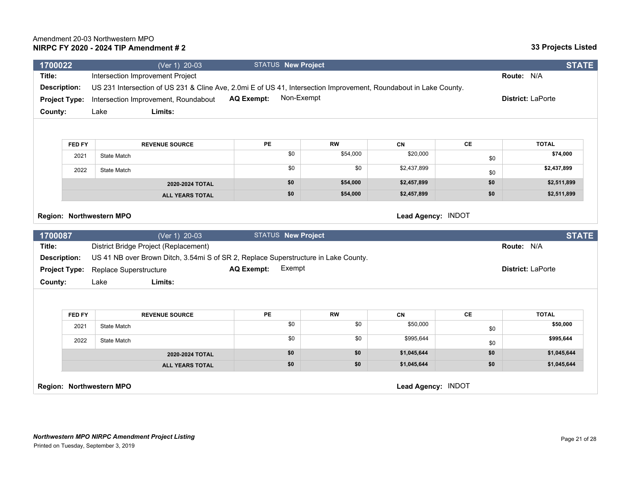| 1700022                                               |                      | (Ver 1) 20-03                                                                                                     |                   | <b>STATUS New Project</b> |           |                    |           | <b>STATE</b>      |
|-------------------------------------------------------|----------------------|-------------------------------------------------------------------------------------------------------------------|-------------------|---------------------------|-----------|--------------------|-----------|-------------------|
| Title:                                                |                      | Intersection Improvement Project                                                                                  |                   |                           |           |                    |           | Route: N/A        |
| <b>Description:</b>                                   |                      | US 231 Intersection of US 231 & Cline Ave, 2.0mi E of US 41, Intersection Improvement, Roundabout in Lake County. |                   |                           |           |                    |           |                   |
|                                                       | <b>Project Type:</b> | Intersection Improvement, Roundabout                                                                              | <b>AQ Exempt:</b> | Non-Exempt                |           |                    |           | District: LaPorte |
| County:                                               |                      | Limits:<br>Lake                                                                                                   |                   |                           |           |                    |           |                   |
|                                                       |                      |                                                                                                                   |                   |                           |           |                    |           |                   |
|                                                       |                      |                                                                                                                   |                   |                           |           |                    |           |                   |
|                                                       | FED FY               | <b>REVENUE SOURCE</b>                                                                                             | PE                |                           | <b>RW</b> | CN                 | <b>CE</b> | <b>TOTAL</b>      |
|                                                       | 2021                 | <b>State Match</b>                                                                                                |                   | \$0                       | \$54,000  | \$20,000           | \$0       | \$74,000          |
|                                                       | 2022                 | <b>State Match</b>                                                                                                |                   | \$0                       | \$0       | \$2,437,899        | \$0       | \$2,437,899       |
|                                                       |                      | 2020-2024 TOTAL                                                                                                   |                   | \$0                       | \$54,000  | \$2,457,899        | \$0       | \$2,511,899       |
|                                                       |                      | <b>ALL YEARS TOTAL</b>                                                                                            |                   | \$0                       | \$54,000  | \$2,457,899        | \$0       | \$2,511,899       |
|                                                       |                      | Region: Northwestern MPO                                                                                          |                   |                           |           | Lead Agency: INDOT |           |                   |
| 1700087                                               |                      | (Ver 1) 20-03                                                                                                     |                   | STATUS New Project        |           |                    |           | <b>STATE</b>      |
| Title:                                                |                      | District Bridge Project (Replacement)                                                                             |                   |                           |           |                    |           | Route: N/A        |
| <b>Description:</b>                                   |                      | US 41 NB over Brown Ditch, 3.54mi S of SR 2, Replace Superstructure in Lake County.                               |                   |                           |           |                    |           |                   |
|                                                       | <b>Project Type:</b> | Replace Superstructure                                                                                            | <b>AQ Exempt:</b> | Exempt                    |           |                    |           | District: LaPorte |
| County:                                               |                      | Limits:<br>Lake                                                                                                   |                   |                           |           |                    |           |                   |
|                                                       |                      |                                                                                                                   |                   |                           |           |                    |           |                   |
|                                                       | FED FY               | <b>REVENUE SOURCE</b>                                                                                             | PE                |                           | <b>RW</b> | CN                 | CE        | <b>TOTAL</b>      |
|                                                       | 2021                 | <b>State Match</b>                                                                                                |                   | \$0                       | \$0       | \$50,000           | \$0       | \$50,000          |
|                                                       | 2022                 | <b>State Match</b>                                                                                                |                   | \$0                       | \$0       | \$995,644          | \$0       | \$995,644         |
|                                                       |                      | 2020-2024 TOTAL                                                                                                   |                   | \$0                       | \$0       | \$1,045,644        | \$0       | \$1,045,644       |
|                                                       |                      | <b>ALL YEARS TOTAL</b>                                                                                            |                   | \$0                       | \$0       | \$1,045,644        | \$0       | \$1,045,644       |
| Lead Agency: INDOT<br><b>Region: Northwestern MPO</b> |                      |                                                                                                                   |                   |                           |           |                    |           |                   |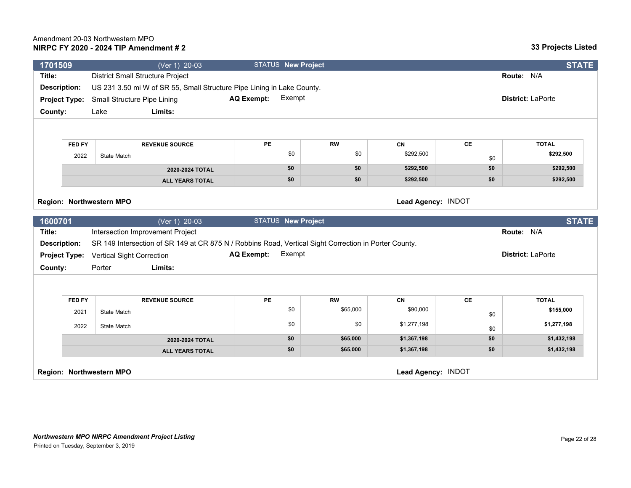*Northwestern MPO NIRPC Amendment Project Listing* Printed on Tuesday, September 3, 2019

| <b>Description:</b>      |                      | US 231 3.50 mi W of SR 55, Small Structure Pipe Lining in Lake County.                                |                             |                    |           |                    |           |                          |  |
|--------------------------|----------------------|-------------------------------------------------------------------------------------------------------|-----------------------------|--------------------|-----------|--------------------|-----------|--------------------------|--|
|                          | <b>Project Type:</b> | Small Structure Pipe Lining                                                                           | <b>AQ Exempt:</b>           | Exempt             |           |                    |           | <b>District: LaPorte</b> |  |
| County:                  |                      | Limits:<br>Lake                                                                                       |                             |                    |           |                    |           |                          |  |
|                          |                      |                                                                                                       |                             |                    |           |                    |           |                          |  |
|                          | <b>FED FY</b>        | <b>REVENUE SOURCE</b>                                                                                 | <b>PE</b>                   |                    | <b>RW</b> | CN                 | <b>CE</b> | <b>TOTAL</b>             |  |
| 2022                     |                      | State Match                                                                                           |                             | \$0                | \$0       | \$292,500          | \$0       | \$292,500                |  |
|                          |                      | 2020-2024 TOTAL                                                                                       |                             | \$0                | \$0       | \$292,500          | \$0       | \$292,500                |  |
|                          |                      | <b>ALL YEARS TOTAL</b>                                                                                |                             | \$0                | \$0       | \$292,500          | \$0       | \$292,500                |  |
| Region: Northwestern MPO |                      |                                                                                                       |                             |                    |           | Lead Agency: INDOT |           |                          |  |
| 1600701                  |                      | $\sqrt{(Ver 1)}$ 20-03                                                                                |                             | STATUS New Project |           |                    |           | <b>STATE</b>             |  |
| Title:                   |                      | Intersection Improvement Project                                                                      |                             |                    |           |                    |           | Route: N/A               |  |
| <b>Description:</b>      |                      | SR 149 Intersection of SR 149 at CR 875 N / Robbins Road, Vertical Sight Correction in Porter County. |                             |                    |           |                    |           |                          |  |
|                          | <b>Project Type:</b> | <b>Vertical Sight Correction</b>                                                                      | Exempt<br><b>AQ Exempt:</b> |                    |           |                    |           | <b>District: LaPorte</b> |  |
| County:                  |                      | Limits:<br>Porter                                                                                     |                             |                    |           |                    |           |                          |  |
|                          |                      |                                                                                                       |                             |                    |           |                    |           |                          |  |
|                          | <b>FED FY</b>        | <b>REVENUE SOURCE</b>                                                                                 | PE                          |                    | <b>RW</b> | CN                 | <b>CE</b> | <b>TOTAL</b>             |  |
|                          | 2021                 | <b>State Match</b>                                                                                    |                             | \$0                | \$65,000  | \$90,000           | \$0       | \$155,000                |  |
|                          | 2022                 | <b>State Match</b>                                                                                    |                             | \$0                | \$0       | \$1,277,198        | \$0       | \$1,277,198              |  |
|                          |                      | 2020-2024 TOTAL                                                                                       |                             | \$0                | \$65,000  | \$1,367,198        | \$0       | \$1,432,198              |  |
|                          |                      | <b>ALL YEARS TOTAL</b>                                                                                |                             | \$0                | \$65,000  | \$1,367,198        | \$0       | \$1,432,198              |  |
|                          |                      |                                                                                                       |                             |                    |           |                    |           |                          |  |

**Region: Northwestern MPO Lead Agency:** INDOT

**1701509** (Ver 1) 20-03 STATUS **New Project STATE**

**Title:** District Small Structure Project **Route:** N/A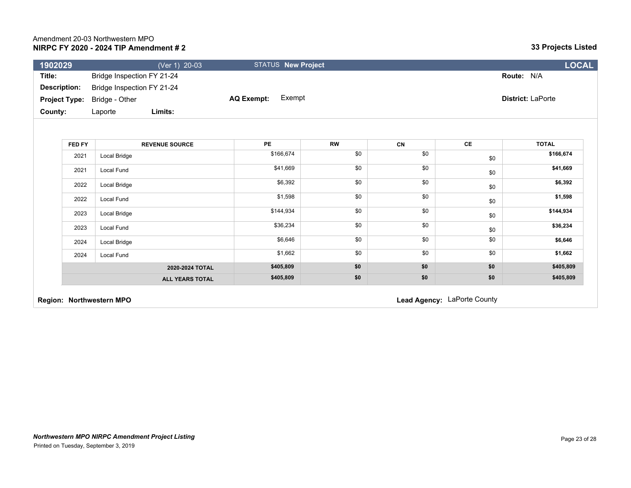## **33 Projects Listed**

| 1902029             |                                     | (Ver 1) 20-03 |            | <b>STATUS New Project</b> |                          | LOCAL |
|---------------------|-------------------------------------|---------------|------------|---------------------------|--------------------------|-------|
| Title:              | Bridge Inspection FY 21-24          |               |            |                           | <b>Route: N/A</b>        |       |
| <b>Description:</b> | Bridge Inspection FY 21-24          |               |            |                           |                          |       |
|                     | <b>Project Type:</b> Bridge - Other |               | AQ Exempt: | Exempt                    | <b>District: LaPorte</b> |       |
| County:             | Laporte                             | Limits:       |            |                           |                          |       |

| FED FY | <b>REVENUE SOURCE</b>  | PE        | <b>RW</b> | <b>CN</b> | CE  | <b>TOTAL</b> |
|--------|------------------------|-----------|-----------|-----------|-----|--------------|
| 2021   | Local Bridge           | \$166,674 | \$0       | \$0       | \$0 | \$166,674    |
| 2021   | Local Fund             | \$41,669  | \$0       | \$0       | \$0 | \$41,669     |
| 2022   | Local Bridge           | \$6,392   | \$0       | \$0       | \$0 | \$6,392      |
| 2022   | Local Fund             | \$1,598   | \$0       | \$0       | \$0 | \$1,598      |
| 2023   | Local Bridge           | \$144,934 | \$0       | \$0       | \$0 | \$144,934    |
| 2023   | Local Fund             | \$36,234  | \$0       | \$0       | \$0 | \$36,234     |
| 2024   | Local Bridge           | \$6,646   | \$0       | \$0       | \$0 | \$6,646      |
| 2024   | Local Fund             | \$1,662   | \$0       | \$0       | \$0 | \$1,662      |
|        | 2020-2024 TOTAL        | \$405,809 | \$0       | \$0       | \$0 | \$405,809    |
|        | <b>ALL YEARS TOTAL</b> | \$405,809 | \$0       | \$0       | \$0 | \$405,809    |

**Region: Northwestern MPO Region: Northwestern MPO Lead Agency:** LaPorte County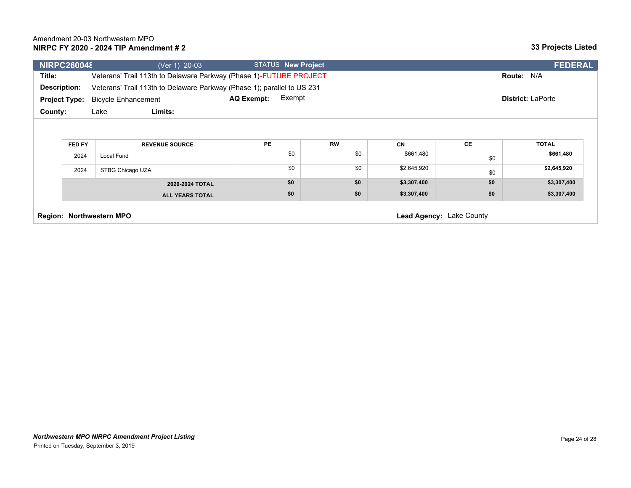|                                                      | <b>NIRPC260048</b> | (Ver 1) 20-03                                                           | <b>STATUS New Project</b>   |           |             |           | <b>FEDERAL</b>           |
|------------------------------------------------------|--------------------|-------------------------------------------------------------------------|-----------------------------|-----------|-------------|-----------|--------------------------|
| Title:                                               |                    | Veterans' Trail 113th to Delaware Parkway (Phase 1)-FUTURE PROJECT      |                             |           |             |           | Route: N/A               |
| <b>Description:</b>                                  |                    | Veterans' Trail 113th to Delaware Parkway (Phase 1); parallel to US 231 |                             |           |             |           |                          |
| <b>Project Type:</b>                                 |                    | <b>Bicycle Enhancement</b>                                              | Exempt<br><b>AQ Exempt:</b> |           |             |           | <b>District: LaPorte</b> |
| County:                                              |                    | Limits:<br>Lake                                                         |                             |           |             |           |                          |
|                                                      |                    |                                                                         |                             |           |             |           |                          |
|                                                      |                    |                                                                         |                             |           |             |           |                          |
|                                                      | FED FY             | <b>REVENUE SOURCE</b>                                                   | <b>PE</b>                   | <b>RW</b> | CN          | <b>CE</b> | <b>TOTAL</b>             |
|                                                      | 2024               | Local Fund                                                              | \$0                         | \$0       | \$661,480   | \$0       | \$661,480                |
|                                                      | 2024               | STBG Chicago UZA                                                        | \$0                         | \$0       | \$2,645,920 | \$0       | \$2,645,920              |
|                                                      |                    | 2020-2024 TOTAL                                                         | \$0                         | \$0       | \$3,307,400 | \$0       | \$3,307,400              |
|                                                      |                    | <b>ALL YEARS TOTAL</b>                                                  | \$0                         | \$0       | \$3,307,400 | \$0       | \$3,307,400              |
| Lead Agency: Lake County<br>Region: Northwestern MPO |                    |                                                                         |                             |           |             |           |                          |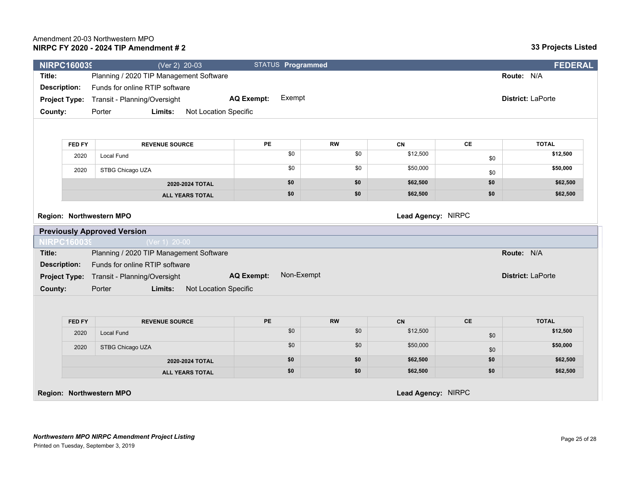| <b>NIRPC160039</b>   |        | (Ver 2) 20-03                                       | STATUS Programmed               |           |          |           | <b>FEDERAL</b>           |
|----------------------|--------|-----------------------------------------------------|---------------------------------|-----------|----------|-----------|--------------------------|
| Title:               |        | Planning / 2020 TIP Management Software             |                                 |           |          |           | Route: N/A               |
| <b>Description:</b>  |        | Funds for online RTIP software                      |                                 |           |          |           |                          |
| <b>Project Type:</b> |        | Transit - Planning/Oversight                        | Exempt<br><b>AQ Exempt:</b>     |           |          |           | <b>District: LaPorte</b> |
| County:              |        | Porter<br>Limits:<br>Not Location Specific          |                                 |           |          |           |                          |
|                      |        |                                                     |                                 |           |          |           |                          |
|                      | FED FY | <b>REVENUE SOURCE</b>                               | <b>PE</b>                       | <b>RW</b> | CN       | CE        | <b>TOTAL</b>             |
|                      | 2020   | <b>Local Fund</b>                                   | \$0                             | \$0       | \$12,500 |           | \$12,500                 |
|                      |        |                                                     | \$0                             | \$0       | \$50,000 | \$0       | \$50,000                 |
|                      | 2020   | STBG Chicago UZA                                    |                                 |           |          | \$0       |                          |
|                      |        | 2020-2024 TOTAL                                     | \$0                             | \$0       | \$62,500 | \$0       | \$62,500                 |
|                      |        | <b>ALL YEARS TOTAL</b>                              | \$0                             | \$0       | \$62,500 | \$0       | \$62,500                 |
| <b>NIRPC160039</b>   |        | <b>Previously Approved Version</b><br>(Ver 1) 20-00 |                                 |           |          |           |                          |
| Title:               |        | Planning / 2020 TIP Management Software             |                                 |           |          |           | Route: N/A               |
| <b>Description:</b>  |        | Funds for online RTIP software                      |                                 |           |          |           |                          |
| <b>Project Type:</b> |        | Transit - Planning/Oversight                        | Non-Exempt<br><b>AQ Exempt:</b> |           |          |           | <b>District: LaPorte</b> |
| County:              |        | Limits:<br>Not Location Specific<br>Porter          |                                 |           |          |           |                          |
|                      |        |                                                     |                                 |           |          |           |                          |
|                      | FED FY | <b>REVENUE SOURCE</b>                               | <b>PE</b>                       | <b>RW</b> | CN       | <b>CE</b> | <b>TOTAL</b>             |
|                      | 2020   | <b>Local Fund</b>                                   | \$0                             | \$0       | \$12,500 |           | \$12,500                 |
|                      |        |                                                     | \$0                             | \$0       | \$50,000 | \$0       | \$50,000                 |
|                      | 2020   | STBG Chicago UZA                                    |                                 |           |          | \$0       |                          |
|                      |        | 2020-2024 TOTAL                                     | \$0                             | \$0       | \$62,500 | \$0       | \$62,500                 |
|                      |        | <b>ALL YEARS TOTAL</b>                              | \$0                             | \$0       | \$62,500 | \$0       | \$62,500                 |

**Region: Northwestern MPO Lead Agency:** NIRPC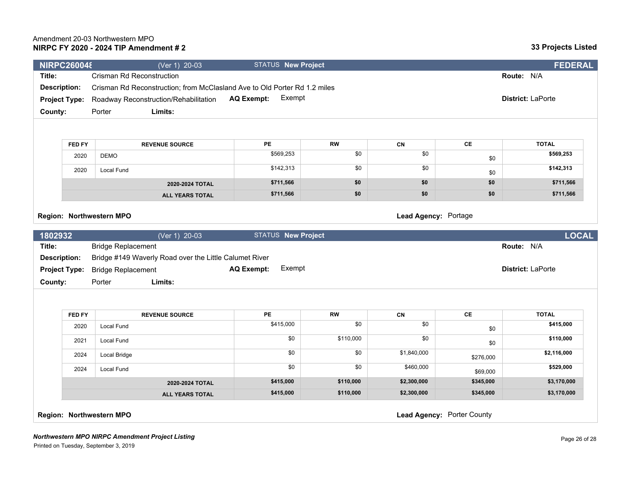#### *Northwestern MPO NIRPC Amendment Project Listing*

Printed on Tuesday, September 3, 2019

|                                                                             | <b>NIRPC260048</b> | (Ver 1) 20-03                                                                                            | <b>STATUS New Project</b>   |                   |             |               | <b>FEDERAL</b>             |
|-----------------------------------------------------------------------------|--------------------|----------------------------------------------------------------------------------------------------------|-----------------------------|-------------------|-------------|---------------|----------------------------|
| Title:                                                                      |                    | <b>Crisman Rd Reconstruction</b>                                                                         |                             |                   |             |               | Route: N/A                 |
| <b>Description:</b>                                                         |                    | Crisman Rd Reconstruction; from McClasland Ave to Old Porter Rd 1.2 miles                                |                             |                   |             |               |                            |
| <b>Project Type:</b>                                                        |                    | Roadway Reconstruction/Rehabilitation                                                                    |                             | District: LaPorte |             |               |                            |
| County:                                                                     |                    | Limits:<br>Porter                                                                                        |                             |                   |             |               |                            |
|                                                                             |                    |                                                                                                          |                             |                   |             |               |                            |
|                                                                             | <b>FED FY</b>      | <b>REVENUE SOURCE</b>                                                                                    | PE                          | <b>RW</b>         | CN          | CE            | <b>TOTAL</b>               |
|                                                                             | 2020               | <b>DEMO</b>                                                                                              | \$569,253                   | $\overline{50}$   | \$0         | \$0           | \$569,253                  |
|                                                                             | 2020               | Local Fund                                                                                               | \$142,313                   | \$0               | \$0         | \$0           | \$142,313                  |
|                                                                             |                    | 2020-2024 TOTAL                                                                                          | \$711,566                   | \$0               | \$0         | \$0           | \$711,566                  |
|                                                                             |                    | <b>ALL YEARS TOTAL</b>                                                                                   | \$711,566                   | \$0               | \$0         | \$0           | \$711,566                  |
|                                                                             |                    |                                                                                                          |                             |                   |             |               |                            |
|                                                                             |                    | (Ver 1) 20-03<br><b>Bridge Replacement</b>                                                               | <b>STATUS New Project</b>   |                   |             |               | <b>LOCAL</b><br>Route: N/A |
| 1802932<br>Title:<br><b>Description:</b><br><b>Project Type:</b><br>County: |                    | Bridge #149 Waverly Road over the Little Calumet River<br><b>Bridge Replacement</b><br>Limits:<br>Porter | Exempt<br><b>AQ Exempt:</b> |                   |             |               | District: LaPorte          |
|                                                                             | <b>FED FY</b>      | <b>REVENUE SOURCE</b>                                                                                    | PE                          | <b>RW</b>         | CN          | $\mathsf{CE}$ | <b>TOTAL</b>               |
|                                                                             | 2020               | <b>Local Fund</b>                                                                                        | \$415,000                   | $\overline{50}$   | \$0         |               | \$415,000                  |
|                                                                             | 2021               | Local Fund                                                                                               | \$0                         | \$110,000         | \$0         | \$0<br>\$0    | \$110,000                  |
|                                                                             | 2024               | Local Bridge                                                                                             | \$0                         | \$0               | \$1,840,000 | \$276,000     | \$2,116,000                |
|                                                                             | 2024               | Local Fund                                                                                               | \$0                         | \$0               | \$460,000   | \$69,000      | \$529,000                  |
|                                                                             |                    | 2020-2024 TOTAL                                                                                          | \$415,000                   | \$110,000         | \$2,300,000 | \$345,000     | \$3,170,000                |
|                                                                             |                    | <b>ALL YEARS TOTAL</b>                                                                                   | \$415,000                   | \$110,000         | \$2,300,000 | \$345,000     | \$3,170,000                |

## **NIRPC FY 2020 - 2024 TIP Amendment # 2** Amendment 20-03 Northwestern MPO

| m                                                 |                   |           |           | <b>Route: N/A</b> |               |                          |  |
|---------------------------------------------------|-------------------|-----------|-----------|-------------------|---------------|--------------------------|--|
| n; from McClasland Ave to Old Porter Rd 1.2 miles |                   |           |           |                   |               |                          |  |
| Rehabilitation                                    | <b>AQ Exempt:</b> | Exempt    |           |                   |               | <b>District: LaPorte</b> |  |
|                                                   |                   |           |           |                   |               |                          |  |
|                                                   |                   |           |           |                   |               |                          |  |
|                                                   |                   |           |           |                   |               |                          |  |
| <b>OURCE</b>                                      | PE                |           | <b>RW</b> | CN                | СE            | <b>TOTAL</b>             |  |
|                                                   |                   | \$569,253 | \$0       | \$0               | $\sim$ $\sim$ | \$569,253                |  |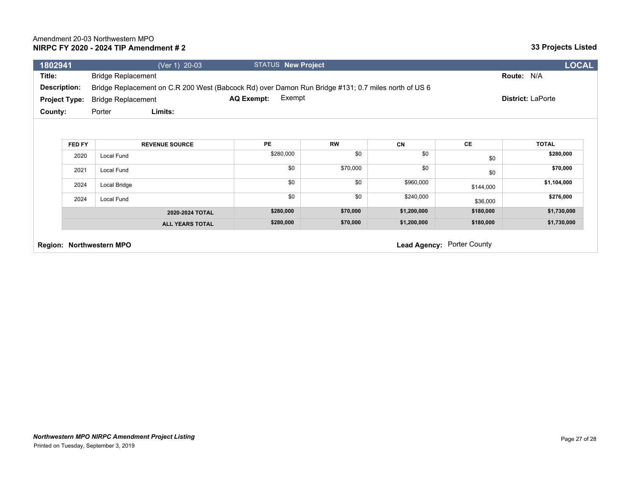| 1802941              |        | (Ver 1) 20-03                                                                                       | <b>STATUS New Project</b>   |           |             |                            | <b>LOCAL</b>             |  |
|----------------------|--------|-----------------------------------------------------------------------------------------------------|-----------------------------|-----------|-------------|----------------------------|--------------------------|--|
| Title:               |        | <b>Bridge Replacement</b>                                                                           |                             |           |             |                            | Route: N/A               |  |
| <b>Description:</b>  |        | Bridge Replacement on C.R 200 West (Babcock Rd) over Damon Run Bridge #131; 0.7 miles north of US 6 |                             |           |             |                            |                          |  |
| <b>Project Type:</b> |        | <b>Bridge Replacement</b>                                                                           | Exempt<br><b>AQ Exempt:</b> |           |             |                            | <b>District: LaPorte</b> |  |
| County:              |        | Limits:<br>Porter                                                                                   |                             |           |             |                            |                          |  |
|                      |        |                                                                                                     |                             |           |             |                            |                          |  |
|                      | FED FY | <b>REVENUE SOURCE</b>                                                                               | <b>PE</b>                   | <b>RW</b> | CN          | CE                         | <b>TOTAL</b>             |  |
|                      | 2020   | Local Fund                                                                                          | \$280,000                   | \$0       | \$0         | \$0                        | \$280,000                |  |
|                      | 2021   | Local Fund                                                                                          | \$0                         | \$70,000  | \$0         | \$0                        | \$70,000                 |  |
|                      | 2024   | Local Bridge                                                                                        | \$0                         | \$0       | \$960,000   | \$144,000                  | \$1,104,000              |  |
|                      | 2024   | Local Fund                                                                                          | \$0                         | \$0       | \$240,000   | \$36,000                   | \$276,000                |  |
|                      |        | 2020-2024 TOTAL                                                                                     | \$280,000                   | \$70,000  | \$1,200,000 | \$180,000                  | \$1,730,000              |  |
|                      |        | <b>ALL YEARS TOTAL</b>                                                                              | \$280,000                   | \$70,000  | \$1,200,000 | \$180,000                  | \$1,730,000              |  |
|                      |        | Region: Northwestern MPO                                                                            |                             |           |             | Lead Agency: Porter County |                          |  |